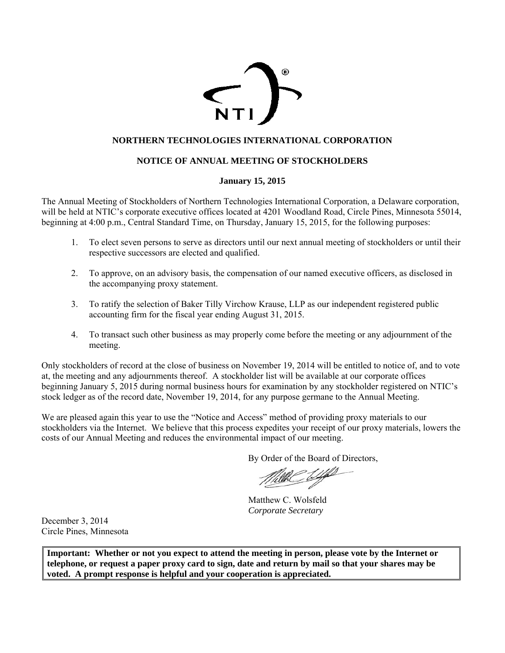

# **NORTHERN TECHNOLOGIES INTERNATIONAL CORPORATION**

## **NOTICE OF ANNUAL MEETING OF STOCKHOLDERS**

### **January 15, 2015**

The Annual Meeting of Stockholders of Northern Technologies International Corporation, a Delaware corporation, will be held at NTIC's corporate executive offices located at 4201 Woodland Road, Circle Pines, Minnesota 55014, beginning at 4:00 p.m., Central Standard Time, on Thursday, January 15, 2015, for the following purposes:

- 1. To elect seven persons to serve as directors until our next annual meeting of stockholders or until their respective successors are elected and qualified.
- 2. To approve, on an advisory basis, the compensation of our named executive officers, as disclosed in the accompanying proxy statement.
- 3. To ratify the selection of Baker Tilly Virchow Krause, LLP as our independent registered public accounting firm for the fiscal year ending August 31, 2015.
- 4. To transact such other business as may properly come before the meeting or any adjournment of the meeting.

Only stockholders of record at the close of business on November 19, 2014 will be entitled to notice of, and to vote at, the meeting and any adjournments thereof. A stockholder list will be available at our corporate offices beginning January 5, 2015 during normal business hours for examination by any stockholder registered on NTIC's stock ledger as of the record date, November 19, 2014, for any purpose germane to the Annual Meeting.

We are pleased again this year to use the "Notice and Access" method of providing proxy materials to our stockholders via the Internet. We believe that this process expedites your receipt of our proxy materials, lowers the costs of our Annual Meeting and reduces the environmental impact of our meeting.

By Order of the Board of Directors,

Matthew C. Wolsfeld *Corporate Secretary* 

December 3, 2014 Circle Pines, Minnesota

**Important: Whether or not you expect to attend the meeting in person, please vote by the Internet or telephone, or request a paper proxy card to sign, date and return by mail so that your shares may be voted. A prompt response is helpful and your cooperation is appreciated.**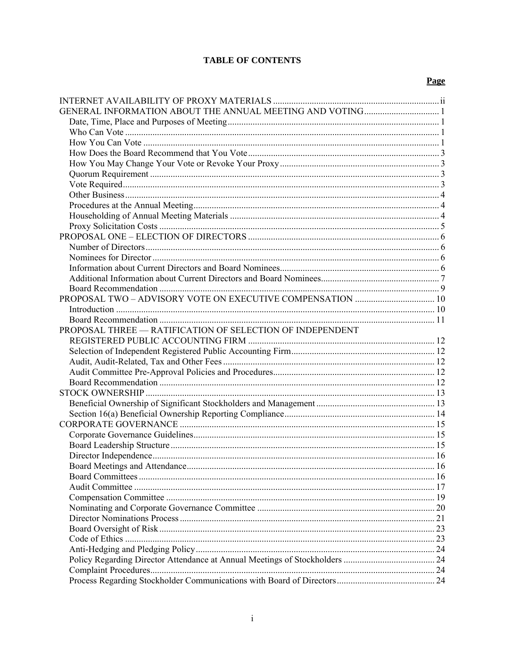## **TABLE OF CONTENTS**

# Page

| PROPOSAL THREE - RATIFICATION OF SELECTION OF INDEPENDENT |  |
|-----------------------------------------------------------|--|
|                                                           |  |
|                                                           |  |
|                                                           |  |
|                                                           |  |
|                                                           |  |
|                                                           |  |
|                                                           |  |
|                                                           |  |
|                                                           |  |
|                                                           |  |
|                                                           |  |
|                                                           |  |
|                                                           |  |
|                                                           |  |
|                                                           |  |
|                                                           |  |
|                                                           |  |
|                                                           |  |
|                                                           |  |
|                                                           |  |
|                                                           |  |
|                                                           |  |
|                                                           |  |
|                                                           |  |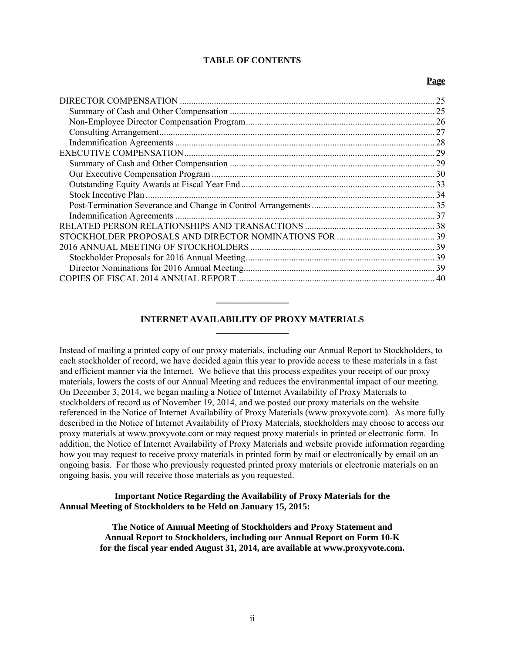#### **TABLE OF CONTENTS**

#### **Page**

| 25 |
|----|
|    |
|    |
|    |
|    |
|    |
|    |
|    |
|    |
|    |
|    |
|    |
|    |
|    |
|    |
|    |
|    |
|    |

## **INTERNET AVAILABILITY OF PROXY MATERIALS \_\_\_\_\_\_\_\_\_\_\_\_\_\_\_\_**

**\_\_\_\_\_\_\_\_\_\_\_\_\_\_\_\_** 

Instead of mailing a printed copy of our proxy materials, including our Annual Report to Stockholders, to each stockholder of record, we have decided again this year to provide access to these materials in a fast and efficient manner via the Internet. We believe that this process expedites your receipt of our proxy materials, lowers the costs of our Annual Meeting and reduces the environmental impact of our meeting. On December 3, 2014, we began mailing a Notice of Internet Availability of Proxy Materials to stockholders of record as of November 19, 2014, and we posted our proxy materials on the website referenced in the Notice of Internet Availability of Proxy Materials (www.proxyvote.com). As more fully described in the Notice of Internet Availability of Proxy Materials, stockholders may choose to access our proxy materials at www.proxyvote.com or may request proxy materials in printed or electronic form. In addition, the Notice of Internet Availability of Proxy Materials and website provide information regarding how you may request to receive proxy materials in printed form by mail or electronically by email on an ongoing basis. For those who previously requested printed proxy materials or electronic materials on an ongoing basis, you will receive those materials as you requested.

**Important Notice Regarding the Availability of Proxy Materials for the Annual Meeting of Stockholders to be Held on January 15, 2015:** 

> **The Notice of Annual Meeting of Stockholders and Proxy Statement and Annual Report to Stockholders, including our Annual Report on Form 10-K for the fiscal year ended August 31, 2014, are available at www.proxyvote.com.**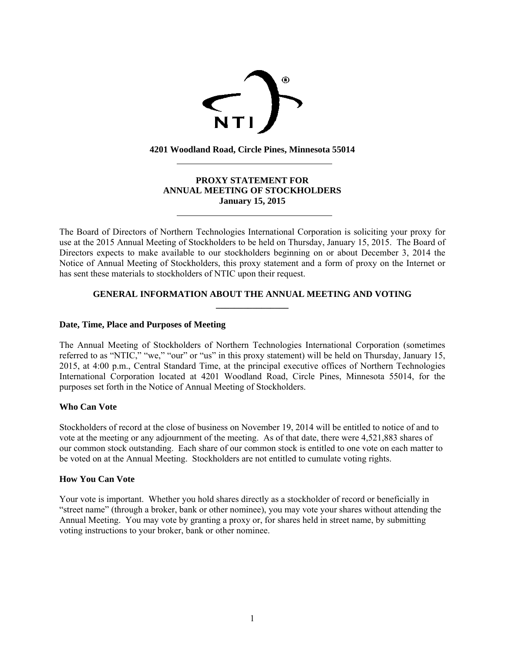

**4201 Woodland Road, Circle Pines, Minnesota 55014** 

## **PROXY STATEMENT FOR ANNUAL MEETING OF STOCKHOLDERS January 15, 2015**

The Board of Directors of Northern Technologies International Corporation is soliciting your proxy for use at the 2015 Annual Meeting of Stockholders to be held on Thursday, January 15, 2015. The Board of Directors expects to make available to our stockholders beginning on or about December 3, 2014 the Notice of Annual Meeting of Stockholders, this proxy statement and a form of proxy on the Internet or has sent these materials to stockholders of NTIC upon their request.

## **GENERAL INFORMATION ABOUT THE ANNUAL MEETING AND VOTING \_\_\_\_\_\_\_\_\_\_\_\_\_\_\_\_**

### **Date, Time, Place and Purposes of Meeting**

 $\overline{a}$ 

 $\overline{a}$ 

The Annual Meeting of Stockholders of Northern Technologies International Corporation (sometimes referred to as "NTIC," "we," "our" or "us" in this proxy statement) will be held on Thursday, January 15, 2015, at 4:00 p.m., Central Standard Time, at the principal executive offices of Northern Technologies International Corporation located at 4201 Woodland Road, Circle Pines, Minnesota 55014, for the purposes set forth in the Notice of Annual Meeting of Stockholders.

### **Who Can Vote**

Stockholders of record at the close of business on November 19, 2014 will be entitled to notice of and to vote at the meeting or any adjournment of the meeting. As of that date, there were 4,521,883 shares of our common stock outstanding. Each share of our common stock is entitled to one vote on each matter to be voted on at the Annual Meeting. Stockholders are not entitled to cumulate voting rights.

#### **How You Can Vote**

Your vote is important. Whether you hold shares directly as a stockholder of record or beneficially in "street name" (through a broker, bank or other nominee), you may vote your shares without attending the Annual Meeting. You may vote by granting a proxy or, for shares held in street name, by submitting voting instructions to your broker, bank or other nominee.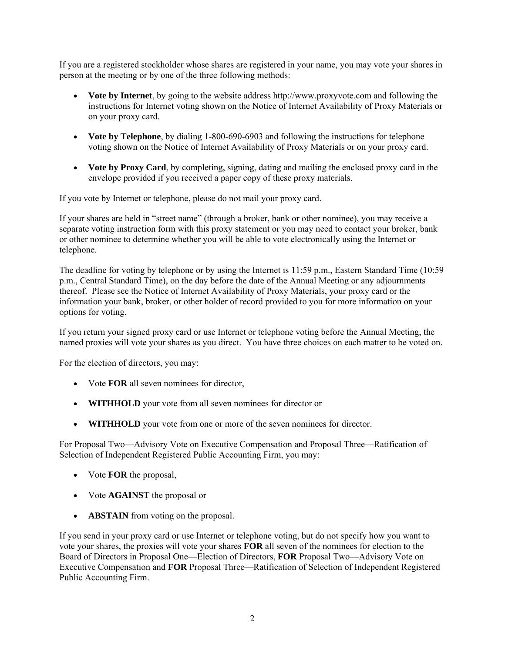If you are a registered stockholder whose shares are registered in your name, you may vote your shares in person at the meeting or by one of the three following methods:

- **Vote by Internet**, by going to the website address http://www.proxyvote.com and following the instructions for Internet voting shown on the Notice of Internet Availability of Proxy Materials or on your proxy card.
- **Vote by Telephone**, by dialing 1-800-690-6903 and following the instructions for telephone voting shown on the Notice of Internet Availability of Proxy Materials or on your proxy card.
- **Vote by Proxy Card**, by completing, signing, dating and mailing the enclosed proxy card in the envelope provided if you received a paper copy of these proxy materials.

If you vote by Internet or telephone, please do not mail your proxy card.

If your shares are held in "street name" (through a broker, bank or other nominee), you may receive a separate voting instruction form with this proxy statement or you may need to contact your broker, bank or other nominee to determine whether you will be able to vote electronically using the Internet or telephone.

The deadline for voting by telephone or by using the Internet is 11:59 p.m., Eastern Standard Time (10:59 p.m., Central Standard Time), on the day before the date of the Annual Meeting or any adjournments thereof. Please see the Notice of Internet Availability of Proxy Materials, your proxy card or the information your bank, broker, or other holder of record provided to you for more information on your options for voting.

If you return your signed proxy card or use Internet or telephone voting before the Annual Meeting, the named proxies will vote your shares as you direct. You have three choices on each matter to be voted on.

For the election of directors, you may:

- Vote **FOR** all seven nominees for director,
- **WITHHOLD** your vote from all seven nominees for director or
- **WITHHOLD** your vote from one or more of the seven nominees for director.

For Proposal Two—Advisory Vote on Executive Compensation and Proposal Three—Ratification of Selection of Independent Registered Public Accounting Firm, you may:

- Vote **FOR** the proposal,
- Vote **AGAINST** the proposal or
- **ABSTAIN** from voting on the proposal.

If you send in your proxy card or use Internet or telephone voting, but do not specify how you want to vote your shares, the proxies will vote your shares **FOR** all seven of the nominees for election to the Board of Directors in Proposal One—Election of Directors, **FOR** Proposal Two—Advisory Vote on Executive Compensation and **FOR** Proposal Three—Ratification of Selection of Independent Registered Public Accounting Firm.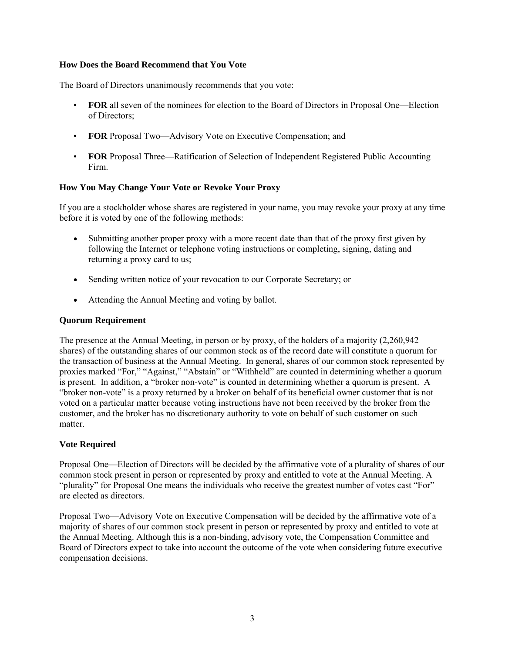### **How Does the Board Recommend that You Vote**

The Board of Directors unanimously recommends that you vote:

- **FOR** all seven of the nominees for election to the Board of Directors in Proposal One—Election of Directors;
- **FOR** Proposal Two—Advisory Vote on Executive Compensation; and
- **FOR** Proposal Three—Ratification of Selection of Independent Registered Public Accounting Firm.

# **How You May Change Your Vote or Revoke Your Proxy**

If you are a stockholder whose shares are registered in your name, you may revoke your proxy at any time before it is voted by one of the following methods:

- Submitting another proper proxy with a more recent date than that of the proxy first given by following the Internet or telephone voting instructions or completing, signing, dating and returning a proxy card to us;
- Sending written notice of your revocation to our Corporate Secretary; or
- Attending the Annual Meeting and voting by ballot.

## **Quorum Requirement**

The presence at the Annual Meeting, in person or by proxy, of the holders of a majority (2,260,942 shares) of the outstanding shares of our common stock as of the record date will constitute a quorum for the transaction of business at the Annual Meeting. In general, shares of our common stock represented by proxies marked "For," "Against," "Abstain" or "Withheld" are counted in determining whether a quorum is present. In addition, a "broker non-vote" is counted in determining whether a quorum is present. A "broker non-vote" is a proxy returned by a broker on behalf of its beneficial owner customer that is not voted on a particular matter because voting instructions have not been received by the broker from the customer, and the broker has no discretionary authority to vote on behalf of such customer on such matter.

# **Vote Required**

Proposal One—Election of Directors will be decided by the affirmative vote of a plurality of shares of our common stock present in person or represented by proxy and entitled to vote at the Annual Meeting. A "plurality" for Proposal One means the individuals who receive the greatest number of votes cast "For" are elected as directors.

Proposal Two—Advisory Vote on Executive Compensation will be decided by the affirmative vote of a majority of shares of our common stock present in person or represented by proxy and entitled to vote at the Annual Meeting. Although this is a non-binding, advisory vote, the Compensation Committee and Board of Directors expect to take into account the outcome of the vote when considering future executive compensation decisions.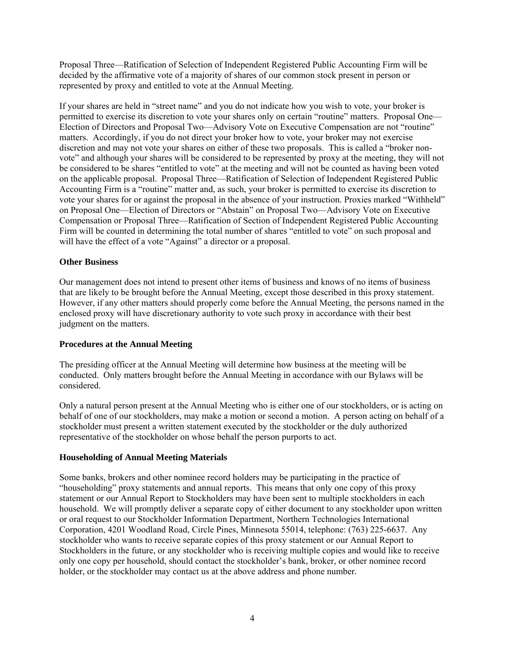Proposal Three—Ratification of Selection of Independent Registered Public Accounting Firm will be decided by the affirmative vote of a majority of shares of our common stock present in person or represented by proxy and entitled to vote at the Annual Meeting.

If your shares are held in "street name" and you do not indicate how you wish to vote, your broker is permitted to exercise its discretion to vote your shares only on certain "routine" matters. Proposal One— Election of Directors and Proposal Two—Advisory Vote on Executive Compensation are not "routine" matters. Accordingly, if you do not direct your broker how to vote, your broker may not exercise discretion and may not vote your shares on either of these two proposals. This is called a "broker nonvote" and although your shares will be considered to be represented by proxy at the meeting, they will not be considered to be shares "entitled to vote" at the meeting and will not be counted as having been voted on the applicable proposal. Proposal Three—Ratification of Selection of Independent Registered Public Accounting Firm is a "routine" matter and, as such, your broker is permitted to exercise its discretion to vote your shares for or against the proposal in the absence of your instruction. Proxies marked "Withheld" on Proposal One—Election of Directors or "Abstain" on Proposal Two—Advisory Vote on Executive Compensation or Proposal Three—Ratification of Section of Independent Registered Public Accounting Firm will be counted in determining the total number of shares "entitled to vote" on such proposal and will have the effect of a vote "Against" a director or a proposal.

#### **Other Business**

Our management does not intend to present other items of business and knows of no items of business that are likely to be brought before the Annual Meeting, except those described in this proxy statement. However, if any other matters should properly come before the Annual Meeting, the persons named in the enclosed proxy will have discretionary authority to vote such proxy in accordance with their best judgment on the matters.

### **Procedures at the Annual Meeting**

The presiding officer at the Annual Meeting will determine how business at the meeting will be conducted. Only matters brought before the Annual Meeting in accordance with our Bylaws will be considered.

Only a natural person present at the Annual Meeting who is either one of our stockholders, or is acting on behalf of one of our stockholders, may make a motion or second a motion. A person acting on behalf of a stockholder must present a written statement executed by the stockholder or the duly authorized representative of the stockholder on whose behalf the person purports to act.

#### **Householding of Annual Meeting Materials**

Some banks, brokers and other nominee record holders may be participating in the practice of "householding" proxy statements and annual reports. This means that only one copy of this proxy statement or our Annual Report to Stockholders may have been sent to multiple stockholders in each household. We will promptly deliver a separate copy of either document to any stockholder upon written or oral request to our Stockholder Information Department, Northern Technologies International Corporation, 4201 Woodland Road, Circle Pines, Minnesota 55014, telephone: (763) 225-6637. Any stockholder who wants to receive separate copies of this proxy statement or our Annual Report to Stockholders in the future, or any stockholder who is receiving multiple copies and would like to receive only one copy per household, should contact the stockholder's bank, broker, or other nominee record holder, or the stockholder may contact us at the above address and phone number.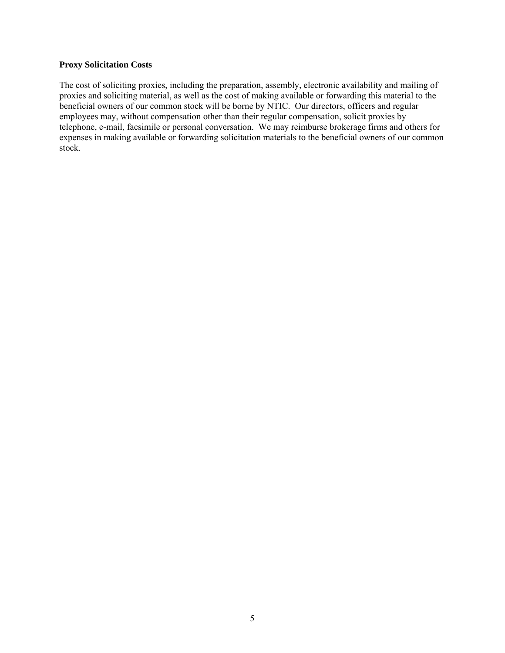#### **Proxy Solicitation Costs**

The cost of soliciting proxies, including the preparation, assembly, electronic availability and mailing of proxies and soliciting material, as well as the cost of making available or forwarding this material to the beneficial owners of our common stock will be borne by NTIC. Our directors, officers and regular employees may, without compensation other than their regular compensation, solicit proxies by telephone, e-mail, facsimile or personal conversation. We may reimburse brokerage firms and others for expenses in making available or forwarding solicitation materials to the beneficial owners of our common stock.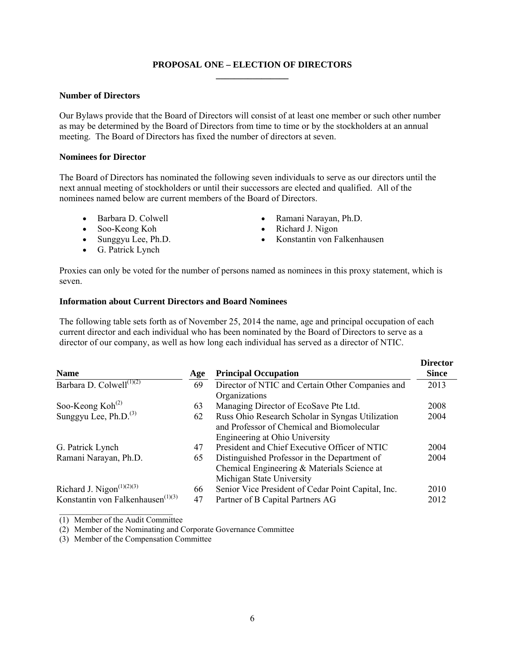#### **PROPOSAL ONE – ELECTION OF DIRECTORS \_\_\_\_\_\_\_\_\_\_\_\_\_\_\_\_**

## **Number of Directors**

Our Bylaws provide that the Board of Directors will consist of at least one member or such other number as may be determined by the Board of Directors from time to time or by the stockholders at an annual meeting. The Board of Directors has fixed the number of directors at seven.

#### **Nominees for Director**

The Board of Directors has nominated the following seven individuals to serve as our directors until the next annual meeting of stockholders or until their successors are elected and qualified. All of the nominees named below are current members of the Board of Directors.

- 
- 
- 
- G. Patrick Lynch
- Barbara D. Colwell Ramani Narayan, Ph.D.
- Soo-Keong Koh Richard J. Nigon
- Sunggyu Lee, Ph.D. Konstantin von Falkenhausen

Proxies can only be voted for the number of persons named as nominees in this proxy statement, which is seven.

#### **Information about Current Directors and Board Nominees**

The following table sets forth as of November 25, 2014 the name, age and principal occupation of each current director and each individual who has been nominated by the Board of Directors to serve as a director of our company, as well as how long each individual has served as a director of NTIC.

| <b>Name</b>                          | Age | <b>Principal Occupation</b>                                                                                                      | <b>Director</b><br><b>Since</b> |
|--------------------------------------|-----|----------------------------------------------------------------------------------------------------------------------------------|---------------------------------|
| Barbara D. Colwell <sup>(1)(2)</sup> | 69  | Director of NTIC and Certain Other Companies and<br>Organizations                                                                | 2013                            |
| Soo-Keong $K \circ h^{(2)}$          | 63  | Managing Director of EcoSave Pte Ltd.                                                                                            | 2008                            |
| Sunggyu Lee, Ph.D. <sup>(3)</sup>    | 62  | Russ Ohio Research Scholar in Syngas Utilization<br>and Professor of Chemical and Biomolecular<br>Engineering at Ohio University | 2004                            |
| G. Patrick Lynch                     | 47  | President and Chief Executive Officer of NTIC                                                                                    | 2004                            |
| Ramani Narayan, Ph.D.                | 65  | Distinguished Professor in the Department of<br>Chemical Engineering & Materials Science at<br>Michigan State University         | 2004                            |
| Richard J. Nigon $(1)(2)(3)$         | 66  | Senior Vice President of Cedar Point Capital, Inc.                                                                               | 2010                            |
| Konstantin von Falkenhausen $(1)(3)$ | 47  | Partner of B Capital Partners AG                                                                                                 | 2012                            |

(1) Member of the Audit Committee

(2) Member of the Nominating and Corporate Governance Committee

(3) Member of the Compensation Committee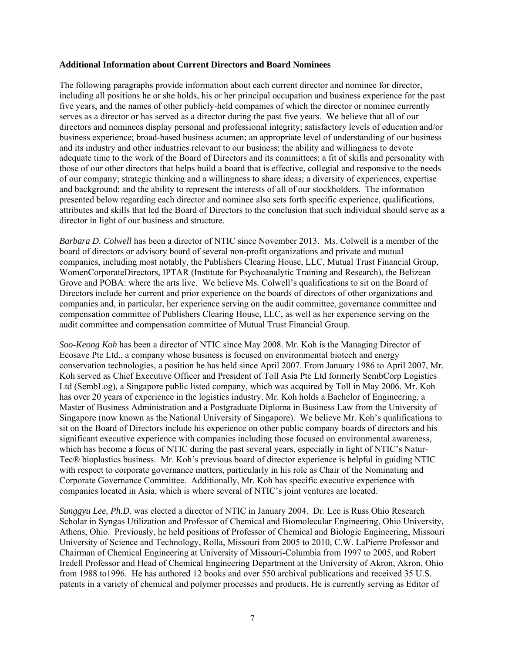#### **Additional Information about Current Directors and Board Nominees**

The following paragraphs provide information about each current director and nominee for director, including all positions he or she holds, his or her principal occupation and business experience for the past five years, and the names of other publicly-held companies of which the director or nominee currently serves as a director or has served as a director during the past five years. We believe that all of our directors and nominees display personal and professional integrity; satisfactory levels of education and/or business experience; broad-based business acumen; an appropriate level of understanding of our business and its industry and other industries relevant to our business; the ability and willingness to devote adequate time to the work of the Board of Directors and its committees; a fit of skills and personality with those of our other directors that helps build a board that is effective, collegial and responsive to the needs of our company; strategic thinking and a willingness to share ideas; a diversity of experiences, expertise and background; and the ability to represent the interests of all of our stockholders. The information presented below regarding each director and nominee also sets forth specific experience, qualifications, attributes and skills that led the Board of Directors to the conclusion that such individual should serve as a director in light of our business and structure.

*Barbara D. Colwell* has been a director of NTIC since November 2013. Ms. Colwell is a member of the board of directors or advisory board of several non-profit organizations and private and mutual companies, including most notably, the Publishers Clearing House, LLC, Mutual Trust Financial Group, WomenCorporateDirectors, IPTAR (Institute for Psychoanalytic Training and Research), the Belizean Grove and POBA: where the arts live. We believe Ms. Colwell's qualifications to sit on the Board of Directors include her current and prior experience on the boards of directors of other organizations and companies and, in particular, her experience serving on the audit committee, governance committee and compensation committee of Publishers Clearing House, LLC, as well as her experience serving on the audit committee and compensation committee of Mutual Trust Financial Group.

*Soo-Keong Koh* has been a director of NTIC since May 2008. Mr. Koh is the Managing Director of Ecosave Pte Ltd., a company whose business is focused on environmental biotech and energy conservation technologies, a position he has held since April 2007. From January 1986 to April 2007, Mr. Koh served as Chief Executive Officer and President of Toll Asia Pte Ltd formerly SembCorp Logistics Ltd (SembLog), a Singapore public listed company, which was acquired by Toll in May 2006. Mr. Koh has over 20 years of experience in the logistics industry. Mr. Koh holds a Bachelor of Engineering, a Master of Business Administration and a Postgraduate Diploma in Business Law from the University of Singapore (now known as the National University of Singapore). We believe Mr. Koh's qualifications to sit on the Board of Directors include his experience on other public company boards of directors and his significant executive experience with companies including those focused on environmental awareness, which has become a focus of NTIC during the past several years, especially in light of NTIC's Natur-Tec® bioplastics business. Mr. Koh's previous board of director experience is helpful in guiding NTIC with respect to corporate governance matters, particularly in his role as Chair of the Nominating and Corporate Governance Committee. Additionally, Mr. Koh has specific executive experience with companies located in Asia, which is where several of NTIC's joint ventures are located.

*Sunggyu Lee, Ph.D.* was elected a director of NTIC in January 2004. Dr. Lee is Russ Ohio Research Scholar in Syngas Utilization and Professor of Chemical and Biomolecular Engineering, Ohio University, Athens, Ohio. Previously, he held positions of Professor of Chemical and Biologic Engineering, Missouri University of Science and Technology, Rolla, Missouri from 2005 to 2010, C.W. LaPierre Professor and Chairman of Chemical Engineering at University of Missouri-Columbia from 1997 to 2005, and Robert Iredell Professor and Head of Chemical Engineering Department at the University of Akron, Akron, Ohio from 1988 to1996. He has authored 12 books and over 550 archival publications and received 35 U.S. patents in a variety of chemical and polymer processes and products. He is currently serving as Editor of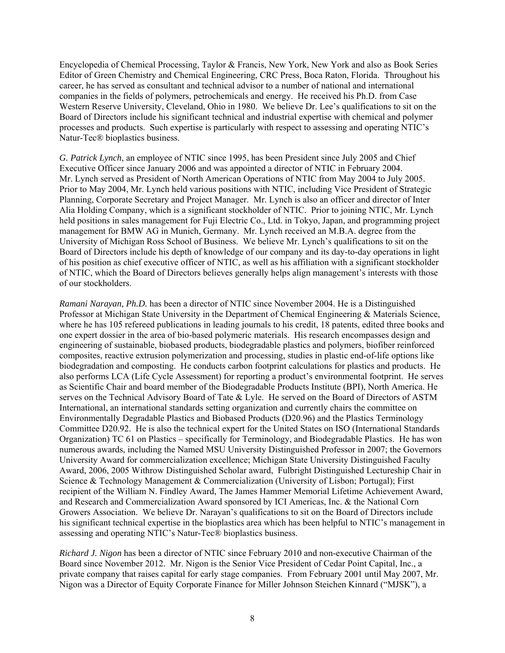Encyclopedia of Chemical Processing, Taylor & Francis, New York, New York and also as Book Series Editor of Green Chemistry and Chemical Engineering, CRC Press, Boca Raton, Florida. Throughout his career, he has served as consultant and technical advisor to a number of national and international companies in the fields of polymers, petrochemicals and energy. He received his Ph.D. from Case Western Reserve University, Cleveland, Ohio in 1980. We believe Dr. Lee's qualifications to sit on the Board of Directors include his significant technical and industrial expertise with chemical and polymer processes and products. Such expertise is particularly with respect to assessing and operating NTIC's Natur-Tec® bioplastics business.

*G. Patrick Lynch*, an employee of NTIC since 1995, has been President since July 2005 and Chief Executive Officer since January 2006 and was appointed a director of NTIC in February 2004. Mr. Lynch served as President of North American Operations of NTIC from May 2004 to July 2005. Prior to May 2004, Mr. Lynch held various positions with NTIC, including Vice President of Strategic Planning, Corporate Secretary and Project Manager. Mr. Lynch is also an officer and director of Inter Alia Holding Company, which is a significant stockholder of NTIC. Prior to joining NTIC, Mr. Lynch held positions in sales management for Fuji Electric Co., Ltd. in Tokyo, Japan, and programming project management for BMW AG in Munich, Germany. Mr. Lynch received an M.B.A. degree from the University of Michigan Ross School of Business. We believe Mr. Lynch's qualifications to sit on the Board of Directors include his depth of knowledge of our company and its day-to-day operations in light of his position as chief executive officer of NTIC, as well as his affiliation with a significant stockholder of NTIC, which the Board of Directors believes generally helps align management's interests with those of our stockholders.

*Ramani Narayan, Ph.D.* has been a director of NTIC since November 2004. He is a Distinguished Professor at Michigan State University in the Department of Chemical Engineering & Materials Science, where he has 105 refereed publications in leading journals to his credit, 18 patents, edited three books and one expert dossier in the area of bio-based polymeric materials. His research encompasses design and engineering of sustainable, biobased products, biodegradable plastics and polymers, biofiber reinforced composites, reactive extrusion polymerization and processing, studies in plastic end-of-life options like biodegradation and composting. He conducts carbon footprint calculations for plastics and products. He also performs LCA (Life Cycle Assessment) for reporting a product's environmental footprint. He serves as Scientific Chair and board member of the Biodegradable Products Institute (BPI), North America. He serves on the Technical Advisory Board of Tate & Lyle. He served on the Board of Directors of ASTM International, an international standards setting organization and currently chairs the committee on Environmentally Degradable Plastics and Biobased Products (D20.96) and the Plastics Terminology Committee D20.92. He is also the technical expert for the United States on ISO (International Standards Organization) TC 61 on Plastics – specifically for Terminology, and Biodegradable Plastics. He has won numerous awards, including the Named MSU University Distinguished Professor in 2007; the Governors University Award for commercialization excellence; Michigan State University Distinguished Faculty Award, 2006, 2005 Withrow Distinguished Scholar award, Fulbright Distinguished Lectureship Chair in Science & Technology Management & Commercialization (University of Lisbon; Portugal); First recipient of the William N. Findley Award, The James Hammer Memorial Lifetime Achievement Award, and Research and Commercialization Award sponsored by ICI Americas, Inc. & the National Corn Growers Association. We believe Dr. Narayan's qualifications to sit on the Board of Directors include his significant technical expertise in the bioplastics area which has been helpful to NTIC's management in assessing and operating NTIC's Natur-Tec® bioplastics business.

*Richard J. Nigon* has been a director of NTIC since February 2010 and non-executive Chairman of the Board since November 2012. Mr. Nigon is the Senior Vice President of Cedar Point Capital, Inc., a private company that raises capital for early stage companies. From February 2001 until May 2007, Mr. Nigon was a Director of Equity Corporate Finance for Miller Johnson Steichen Kinnard ("MJSK"), a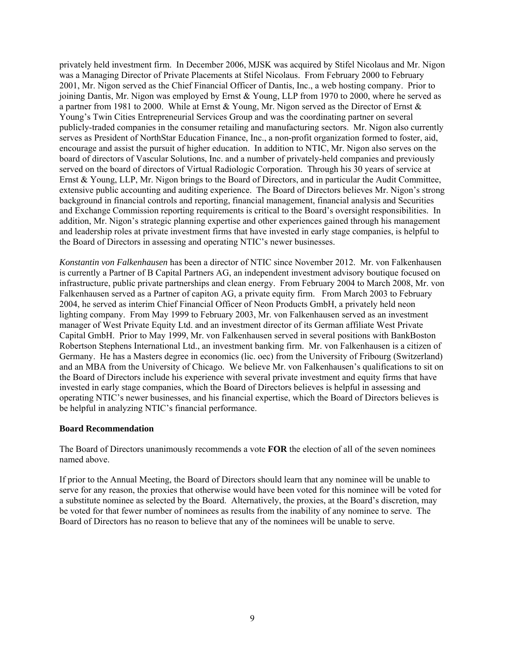privately held investment firm. In December 2006, MJSK was acquired by Stifel Nicolaus and Mr. Nigon was a Managing Director of Private Placements at Stifel Nicolaus. From February 2000 to February 2001, Mr. Nigon served as the Chief Financial Officer of Dantis, Inc., a web hosting company. Prior to joining Dantis, Mr. Nigon was employed by Ernst & Young, LLP from 1970 to 2000, where he served as a partner from 1981 to 2000. While at Ernst & Young, Mr. Nigon served as the Director of Ernst  $\&$ Young's Twin Cities Entrepreneurial Services Group and was the coordinating partner on several publicly-traded companies in the consumer retailing and manufacturing sectors. Mr. Nigon also currently serves as President of NorthStar Education Finance, Inc., a non-profit organization formed to foster, aid, encourage and assist the pursuit of higher education. In addition to NTIC, Mr. Nigon also serves on the board of directors of Vascular Solutions, Inc. and a number of privately-held companies and previously served on the board of directors of Virtual Radiologic Corporation. Through his 30 years of service at Ernst & Young, LLP, Mr. Nigon brings to the Board of Directors, and in particular the Audit Committee, extensive public accounting and auditing experience. The Board of Directors believes Mr. Nigon's strong background in financial controls and reporting, financial management, financial analysis and Securities and Exchange Commission reporting requirements is critical to the Board's oversight responsibilities. In addition, Mr. Nigon's strategic planning expertise and other experiences gained through his management and leadership roles at private investment firms that have invested in early stage companies, is helpful to the Board of Directors in assessing and operating NTIC's newer businesses.

*Konstantin von Falkenhausen* has been a director of NTIC since November 2012. Mr. von Falkenhausen is currently a Partner of B Capital Partners AG, an independent investment advisory boutique focused on infrastructure, public private partnerships and clean energy. From February 2004 to March 2008, Mr. von Falkenhausen served as a Partner of capiton AG, a private equity firm. From March 2003 to February 2004, he served as interim Chief Financial Officer of Neon Products GmbH, a privately held neon lighting company. From May 1999 to February 2003, Mr. von Falkenhausen served as an investment manager of West Private Equity Ltd. and an investment director of its German affiliate West Private Capital GmbH. Prior to May 1999, Mr. von Falkenhausen served in several positions with BankBoston Robertson Stephens International Ltd., an investment banking firm. Mr. von Falkenhausen is a citizen of Germany. He has a Masters degree in economics (lic. oec) from the University of Fribourg (Switzerland) and an MBA from the University of Chicago. We believe Mr. von Falkenhausen's qualifications to sit on the Board of Directors include his experience with several private investment and equity firms that have invested in early stage companies, which the Board of Directors believes is helpful in assessing and operating NTIC's newer businesses, and his financial expertise, which the Board of Directors believes is be helpful in analyzing NTIC's financial performance.

### **Board Recommendation**

The Board of Directors unanimously recommends a vote **FOR** the election of all of the seven nominees named above.

If prior to the Annual Meeting, the Board of Directors should learn that any nominee will be unable to serve for any reason, the proxies that otherwise would have been voted for this nominee will be voted for a substitute nominee as selected by the Board. Alternatively, the proxies, at the Board's discretion, may be voted for that fewer number of nominees as results from the inability of any nominee to serve. The Board of Directors has no reason to believe that any of the nominees will be unable to serve.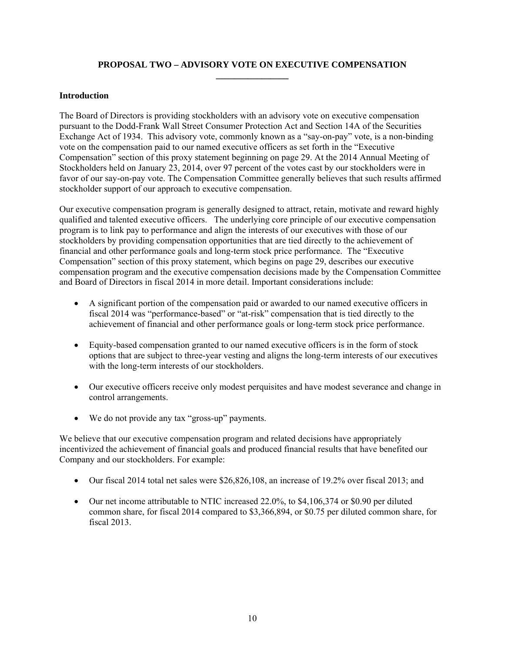## **PROPOSAL TWO – ADVISORY VOTE ON EXECUTIVE COMPENSATION \_\_\_\_\_\_\_\_\_\_\_\_\_\_\_\_**

### **Introduction**

The Board of Directors is providing stockholders with an advisory vote on executive compensation pursuant to the Dodd-Frank Wall Street Consumer Protection Act and Section 14A of the Securities Exchange Act of 1934. This advisory vote, commonly known as a "say-on-pay" vote, is a non-binding vote on the compensation paid to our named executive officers as set forth in the "Executive Compensation" section of this proxy statement beginning on page 29. At the 2014 Annual Meeting of Stockholders held on January 23, 2014, over 97 percent of the votes cast by our stockholders were in favor of our say-on-pay vote. The Compensation Committee generally believes that such results affirmed stockholder support of our approach to executive compensation.

Our executive compensation program is generally designed to attract, retain, motivate and reward highly qualified and talented executive officers. The underlying core principle of our executive compensation program is to link pay to performance and align the interests of our executives with those of our stockholders by providing compensation opportunities that are tied directly to the achievement of financial and other performance goals and long-term stock price performance. The "Executive Compensation" section of this proxy statement, which begins on page 29, describes our executive compensation program and the executive compensation decisions made by the Compensation Committee and Board of Directors in fiscal 2014 in more detail. Important considerations include:

- A significant portion of the compensation paid or awarded to our named executive officers in fiscal 2014 was "performance-based" or "at-risk" compensation that is tied directly to the achievement of financial and other performance goals or long-term stock price performance.
- Equity-based compensation granted to our named executive officers is in the form of stock options that are subject to three-year vesting and aligns the long-term interests of our executives with the long-term interests of our stockholders.
- Our executive officers receive only modest perquisites and have modest severance and change in control arrangements.
- We do not provide any tax "gross-up" payments.

We believe that our executive compensation program and related decisions have appropriately incentivized the achievement of financial goals and produced financial results that have benefited our Company and our stockholders. For example:

- Our fiscal 2014 total net sales were  $$26,826,108$ , an increase of 19.2% over fiscal 2013; and
- $\bullet$  Our net income attributable to NTIC increased 22.0%, to \$4,106,374 or \$0.90 per diluted common share, for fiscal 2014 compared to \$3,366,894, or \$0.75 per diluted common share, for fiscal 2013.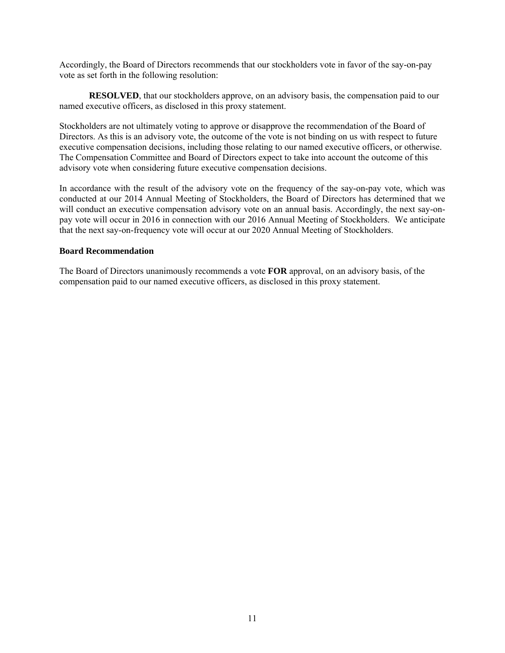Accordingly, the Board of Directors recommends that our stockholders vote in favor of the say-on-pay vote as set forth in the following resolution:

**RESOLVED**, that our stockholders approve, on an advisory basis, the compensation paid to our named executive officers, as disclosed in this proxy statement.

Stockholders are not ultimately voting to approve or disapprove the recommendation of the Board of Directors. As this is an advisory vote, the outcome of the vote is not binding on us with respect to future executive compensation decisions, including those relating to our named executive officers, or otherwise. The Compensation Committee and Board of Directors expect to take into account the outcome of this advisory vote when considering future executive compensation decisions.

In accordance with the result of the advisory vote on the frequency of the say-on-pay vote, which was conducted at our 2014 Annual Meeting of Stockholders, the Board of Directors has determined that we will conduct an executive compensation advisory vote on an annual basis. Accordingly, the next say-onpay vote will occur in 2016 in connection with our 2016 Annual Meeting of Stockholders. We anticipate that the next say-on-frequency vote will occur at our 2020 Annual Meeting of Stockholders.

#### **Board Recommendation**

The Board of Directors unanimously recommends a vote **FOR** approval, on an advisory basis, of the compensation paid to our named executive officers, as disclosed in this proxy statement.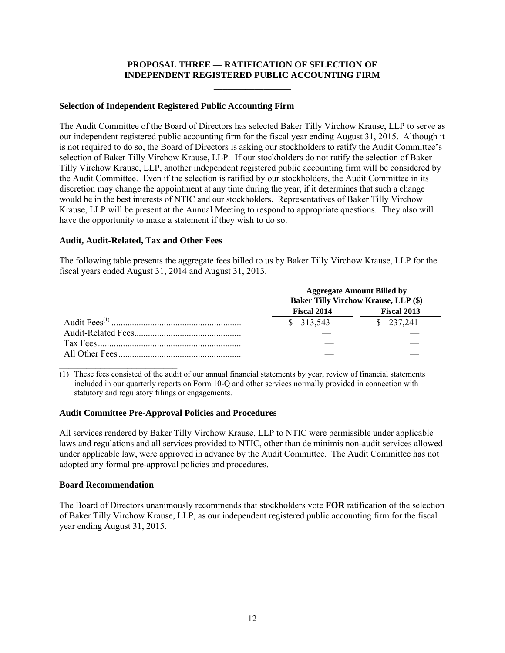## **PROPOSAL THREE — RATIFICATION OF SELECTION OF INDEPENDENT REGISTERED PUBLIC ACCOUNTING FIRM \_\_\_\_\_\_\_\_\_\_\_\_\_\_\_\_\_**

#### **Selection of Independent Registered Public Accounting Firm**

The Audit Committee of the Board of Directors has selected Baker Tilly Virchow Krause, LLP to serve as our independent registered public accounting firm for the fiscal year ending August 31, 2015. Although it is not required to do so, the Board of Directors is asking our stockholders to ratify the Audit Committee's selection of Baker Tilly Virchow Krause, LLP. If our stockholders do not ratify the selection of Baker Tilly Virchow Krause, LLP, another independent registered public accounting firm will be considered by the Audit Committee. Even if the selection is ratified by our stockholders, the Audit Committee in its discretion may change the appointment at any time during the year, if it determines that such a change would be in the best interests of NTIC and our stockholders. Representatives of Baker Tilly Virchow Krause, LLP will be present at the Annual Meeting to respond to appropriate questions. They also will have the opportunity to make a statement if they wish to do so.

### **Audit, Audit-Related, Tax and Other Fees**

The following table presents the aggregate fees billed to us by Baker Tilly Virchow Krause, LLP for the fiscal years ended August 31, 2014 and August 31, 2013.

|             | <b>Aggregate Amount Billed by</b><br><b>Baker Tilly Virchow Krause, LLP (\$)</b> |
|-------------|----------------------------------------------------------------------------------|
| Fiscal 2014 | <b>Fiscal 2013</b>                                                               |
| \$313,543   | $\frac{\$}{237,241}$                                                             |
|             |                                                                                  |
|             |                                                                                  |
|             |                                                                                  |

 $\mathcal{L}_\text{max}$  , where  $\mathcal{L}_\text{max}$  and  $\mathcal{L}_\text{max}$ (1) These fees consisted of the audit of our annual financial statements by year, review of financial statements included in our quarterly reports on Form 10-Q and other services normally provided in connection with statutory and regulatory filings or engagements.

### **Audit Committee Pre-Approval Policies and Procedures**

All services rendered by Baker Tilly Virchow Krause, LLP to NTIC were permissible under applicable laws and regulations and all services provided to NTIC, other than de minimis non-audit services allowed under applicable law, were approved in advance by the Audit Committee. The Audit Committee has not adopted any formal pre-approval policies and procedures.

#### **Board Recommendation**

The Board of Directors unanimously recommends that stockholders vote **FOR** ratification of the selection of Baker Tilly Virchow Krause, LLP, as our independent registered public accounting firm for the fiscal year ending August 31, 2015.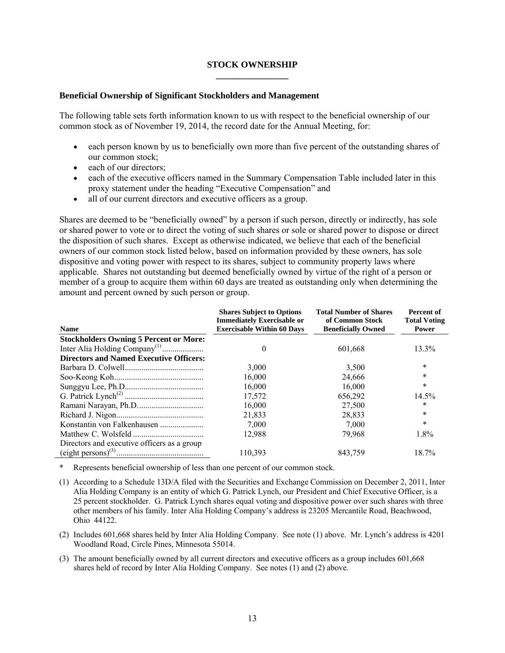#### **STOCK OWNERSHIP \_\_\_\_\_\_\_\_\_\_\_\_\_\_\_\_**

#### **Beneficial Ownership of Significant Stockholders and Management**

The following table sets forth information known to us with respect to the beneficial ownership of our common stock as of November 19, 2014, the record date for the Annual Meeting, for:

- each person known by us to beneficially own more than five percent of the outstanding shares of our common stock;
- each of our directors;
- each of the executive officers named in the Summary Compensation Table included later in this proxy statement under the heading "Executive Compensation" and
- all of our current directors and executive officers as a group.

Shares are deemed to be "beneficially owned" by a person if such person, directly or indirectly, has sole or shared power to vote or to direct the voting of such shares or sole or shared power to dispose or direct the disposition of such shares. Except as otherwise indicated, we believe that each of the beneficial owners of our common stock listed below, based on information provided by these owners, has sole dispositive and voting power with respect to its shares, subject to community property laws where applicable. Shares not outstanding but deemed beneficially owned by virtue of the right of a person or member of a group to acquire them within 60 days are treated as outstanding only when determining the amount and percent owned by such person or group.

| <b>Name</b>                                    | <b>Shares Subject to Options</b><br><b>Immediately Exercisable or</b><br><b>Exercisable Within 60 Days</b> | <b>Total Number of Shares</b><br>of Common Stock<br><b>Beneficially Owned</b> | <b>Percent of</b><br><b>Total Voting</b><br><b>Power</b> |
|------------------------------------------------|------------------------------------------------------------------------------------------------------------|-------------------------------------------------------------------------------|----------------------------------------------------------|
| <b>Stockholders Owning 5 Percent or More:</b>  |                                                                                                            |                                                                               |                                                          |
|                                                | 0                                                                                                          | 601,668                                                                       | 13.3%                                                    |
| <b>Directors and Named Executive Officers:</b> |                                                                                                            |                                                                               |                                                          |
|                                                | 3,000                                                                                                      | 3,500                                                                         | $\ast$                                                   |
|                                                | 16,000                                                                                                     | 24,666                                                                        | $\ast$                                                   |
|                                                | 16,000                                                                                                     | 16.000                                                                        | $\ast$                                                   |
|                                                | 17,572                                                                                                     | 656,292                                                                       | 14.5%                                                    |
|                                                | 16,000                                                                                                     | 27,500                                                                        | $\ast$                                                   |
|                                                | 21,833                                                                                                     | 28.833                                                                        | $\ast$                                                   |
|                                                | 7,000                                                                                                      | 7,000                                                                         | $\ast$                                                   |
|                                                | 12,988                                                                                                     | 79,968                                                                        | 1.8%                                                     |
| Directors and executive officers as a group    |                                                                                                            |                                                                               |                                                          |
|                                                | 110,393                                                                                                    | 843,759                                                                       | 18.7%                                                    |

Represents beneficial ownership of less than one percent of our common stock.

- (1) According to a Schedule 13D/A filed with the Securities and Exchange Commission on December 2, 2011, Inter Alia Holding Company is an entity of which G. Patrick Lynch, our President and Chief Executive Officer, is a 25 percent stockholder. G. Patrick Lynch shares equal voting and dispositive power over such shares with three other members of his family. Inter Alia Holding Company's address is 23205 Mercantile Road, Beachwood, Ohio 44122.
- (2) Includes 601,668 shares held by Inter Alia Holding Company. See note (1) above. Mr. Lynch's address is 4201 Woodland Road, Circle Pines, Minnesota 55014.
- (3) The amount beneficially owned by all current directors and executive officers as a group includes 601,668 shares held of record by Inter Alia Holding Company. See notes (1) and (2) above.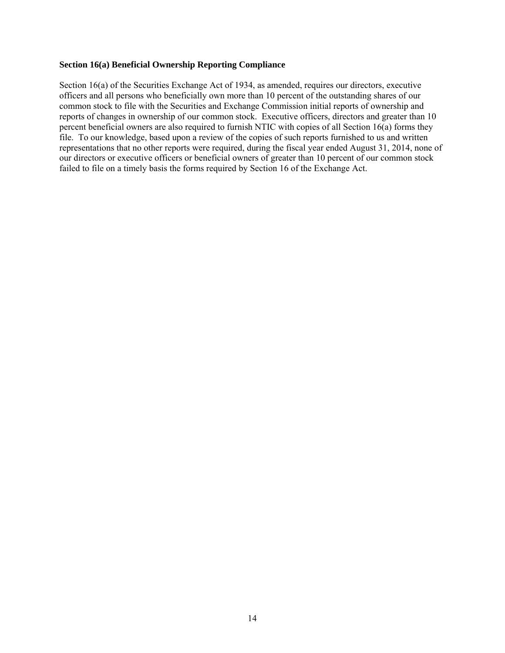#### **Section 16(a) Beneficial Ownership Reporting Compliance**

Section 16(a) of the Securities Exchange Act of 1934, as amended, requires our directors, executive officers and all persons who beneficially own more than 10 percent of the outstanding shares of our common stock to file with the Securities and Exchange Commission initial reports of ownership and reports of changes in ownership of our common stock. Executive officers, directors and greater than 10 percent beneficial owners are also required to furnish NTIC with copies of all Section 16(a) forms they file. To our knowledge, based upon a review of the copies of such reports furnished to us and written representations that no other reports were required, during the fiscal year ended August 31, 2014, none of our directors or executive officers or beneficial owners of greater than 10 percent of our common stock failed to file on a timely basis the forms required by Section 16 of the Exchange Act.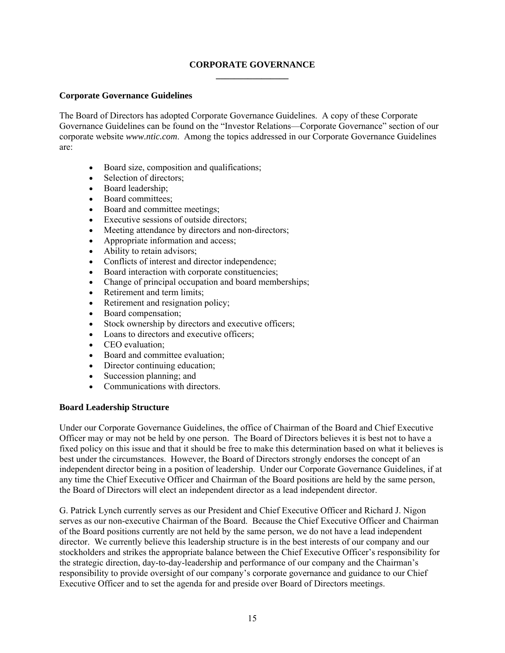### **CORPORATE GOVERNANCE \_\_\_\_\_\_\_\_\_\_\_\_\_\_\_\_**

## **Corporate Governance Guidelines**

The Board of Directors has adopted Corporate Governance Guidelines. A copy of these Corporate Governance Guidelines can be found on the "Investor Relations—Corporate Governance" section of our corporate website *www.ntic.com*. Among the topics addressed in our Corporate Governance Guidelines are:

- Board size, composition and qualifications;
- Selection of directors;
- Board leadership;
- Board committees;
- Board and committee meetings;
- Executive sessions of outside directors:
- Meeting attendance by directors and non-directors;
- Appropriate information and access;
- Ability to retain advisors;
- Conflicts of interest and director independence;
- Board interaction with corporate constituencies;
- Change of principal occupation and board memberships;
- Retirement and term limits;
- Retirement and resignation policy;
- Board compensation;
- Stock ownership by directors and executive officers;
- Loans to directors and executive officers;
- CEO evaluation:
- Board and committee evaluation:
- Director continuing education;
- Succession planning; and
- Communications with directors.

### **Board Leadership Structure**

Under our Corporate Governance Guidelines, the office of Chairman of the Board and Chief Executive Officer may or may not be held by one person. The Board of Directors believes it is best not to have a fixed policy on this issue and that it should be free to make this determination based on what it believes is best under the circumstances. However, the Board of Directors strongly endorses the concept of an independent director being in a position of leadership. Under our Corporate Governance Guidelines, if at any time the Chief Executive Officer and Chairman of the Board positions are held by the same person, the Board of Directors will elect an independent director as a lead independent director.

G. Patrick Lynch currently serves as our President and Chief Executive Officer and Richard J. Nigon serves as our non-executive Chairman of the Board. Because the Chief Executive Officer and Chairman of the Board positions currently are not held by the same person, we do not have a lead independent director. We currently believe this leadership structure is in the best interests of our company and our stockholders and strikes the appropriate balance between the Chief Executive Officer's responsibility for the strategic direction, day-to-day-leadership and performance of our company and the Chairman's responsibility to provide oversight of our company's corporate governance and guidance to our Chief Executive Officer and to set the agenda for and preside over Board of Directors meetings.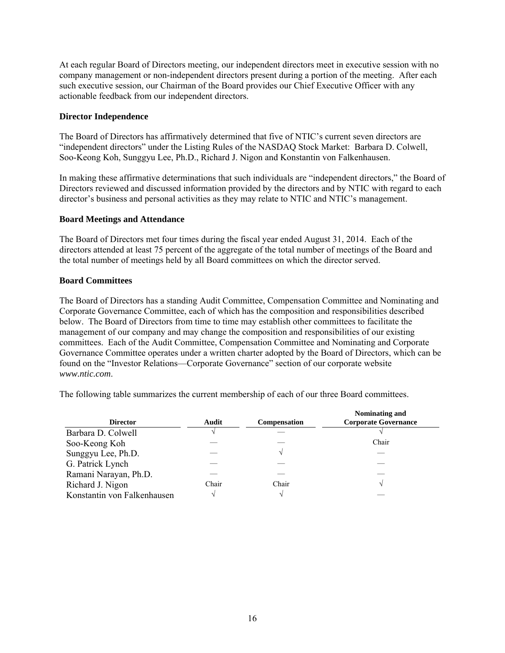At each regular Board of Directors meeting, our independent directors meet in executive session with no company management or non-independent directors present during a portion of the meeting. After each such executive session, our Chairman of the Board provides our Chief Executive Officer with any actionable feedback from our independent directors.

### **Director Independence**

The Board of Directors has affirmatively determined that five of NTIC's current seven directors are "independent directors" under the Listing Rules of the NASDAQ Stock Market: Barbara D. Colwell, Soo-Keong Koh, Sunggyu Lee, Ph.D., Richard J. Nigon and Konstantin von Falkenhausen.

In making these affirmative determinations that such individuals are "independent directors," the Board of Directors reviewed and discussed information provided by the directors and by NTIC with regard to each director's business and personal activities as they may relate to NTIC and NTIC's management.

#### **Board Meetings and Attendance**

The Board of Directors met four times during the fiscal year ended August 31, 2014. Each of the directors attended at least 75 percent of the aggregate of the total number of meetings of the Board and the total number of meetings held by all Board committees on which the director served.

#### **Board Committees**

The Board of Directors has a standing Audit Committee, Compensation Committee and Nominating and Corporate Governance Committee, each of which has the composition and responsibilities described below. The Board of Directors from time to time may establish other committees to facilitate the management of our company and may change the composition and responsibilities of our existing committees. Each of the Audit Committee, Compensation Committee and Nominating and Corporate Governance Committee operates under a written charter adopted by the Board of Directors, which can be found on the "Investor Relations—Corporate Governance" section of our corporate website *www.ntic.com*.

The following table summarizes the current membership of each of our three Board committees.

| <b>Director</b>             | Audit | <b>Compensation</b> | Nominating and<br><b>Corporate Governance</b> |
|-----------------------------|-------|---------------------|-----------------------------------------------|
| Barbara D. Colwell          |       |                     |                                               |
| Soo-Keong Koh               |       |                     | Chair                                         |
| Sunggyu Lee, Ph.D.          |       |                     |                                               |
| G. Patrick Lynch            |       |                     |                                               |
| Ramani Narayan, Ph.D.       |       |                     |                                               |
| Richard J. Nigon            | Chair | Chair               |                                               |
| Konstantin von Falkenhausen | V     | N                   |                                               |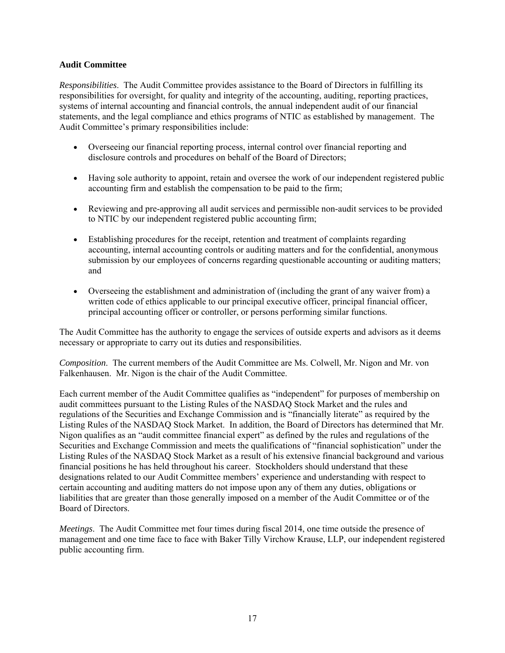### **Audit Committee**

*Responsibilities*. The Audit Committee provides assistance to the Board of Directors in fulfilling its responsibilities for oversight, for quality and integrity of the accounting, auditing, reporting practices, systems of internal accounting and financial controls, the annual independent audit of our financial statements, and the legal compliance and ethics programs of NTIC as established by management. The Audit Committee's primary responsibilities include:

- Overseeing our financial reporting process, internal control over financial reporting and disclosure controls and procedures on behalf of the Board of Directors;
- Having sole authority to appoint, retain and oversee the work of our independent registered public accounting firm and establish the compensation to be paid to the firm;
- Reviewing and pre-approving all audit services and permissible non-audit services to be provided to NTIC by our independent registered public accounting firm;
- Establishing procedures for the receipt, retention and treatment of complaints regarding accounting, internal accounting controls or auditing matters and for the confidential, anonymous submission by our employees of concerns regarding questionable accounting or auditing matters; and
- Overseeing the establishment and administration of (including the grant of any waiver from) a written code of ethics applicable to our principal executive officer, principal financial officer, principal accounting officer or controller, or persons performing similar functions.

The Audit Committee has the authority to engage the services of outside experts and advisors as it deems necessary or appropriate to carry out its duties and responsibilities.

*Composition*. The current members of the Audit Committee are Ms. Colwell, Mr. Nigon and Mr. von Falkenhausen. Mr. Nigon is the chair of the Audit Committee.

Each current member of the Audit Committee qualifies as "independent" for purposes of membership on audit committees pursuant to the Listing Rules of the NASDAQ Stock Market and the rules and regulations of the Securities and Exchange Commission and is "financially literate" as required by the Listing Rules of the NASDAQ Stock Market. In addition, the Board of Directors has determined that Mr. Nigon qualifies as an "audit committee financial expert" as defined by the rules and regulations of the Securities and Exchange Commission and meets the qualifications of "financial sophistication" under the Listing Rules of the NASDAQ Stock Market as a result of his extensive financial background and various financial positions he has held throughout his career. Stockholders should understand that these designations related to our Audit Committee members' experience and understanding with respect to certain accounting and auditing matters do not impose upon any of them any duties, obligations or liabilities that are greater than those generally imposed on a member of the Audit Committee or of the Board of Directors.

*Meetings*. The Audit Committee met four times during fiscal 2014, one time outside the presence of management and one time face to face with Baker Tilly Virchow Krause, LLP, our independent registered public accounting firm.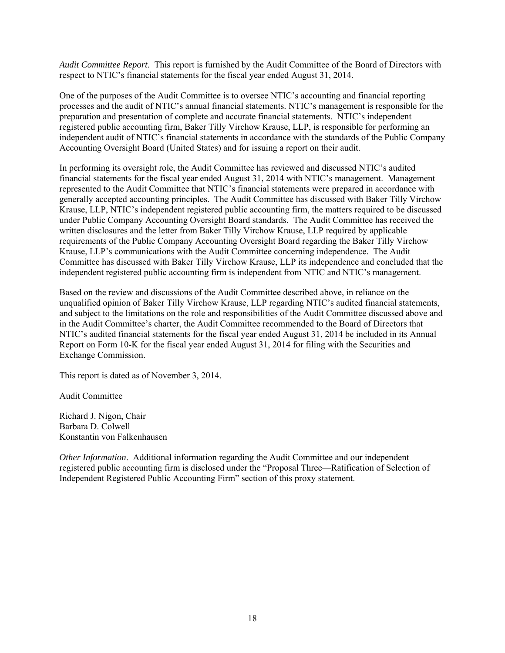*Audit Committee Report*. This report is furnished by the Audit Committee of the Board of Directors with respect to NTIC's financial statements for the fiscal year ended August 31, 2014.

One of the purposes of the Audit Committee is to oversee NTIC's accounting and financial reporting processes and the audit of NTIC's annual financial statements. NTIC's management is responsible for the preparation and presentation of complete and accurate financial statements. NTIC's independent registered public accounting firm, Baker Tilly Virchow Krause, LLP, is responsible for performing an independent audit of NTIC's financial statements in accordance with the standards of the Public Company Accounting Oversight Board (United States) and for issuing a report on their audit.

In performing its oversight role, the Audit Committee has reviewed and discussed NTIC's audited financial statements for the fiscal year ended August 31, 2014 with NTIC's management. Management represented to the Audit Committee that NTIC's financial statements were prepared in accordance with generally accepted accounting principles. The Audit Committee has discussed with Baker Tilly Virchow Krause, LLP, NTIC's independent registered public accounting firm, the matters required to be discussed under Public Company Accounting Oversight Board standards. The Audit Committee has received the written disclosures and the letter from Baker Tilly Virchow Krause, LLP required by applicable requirements of the Public Company Accounting Oversight Board regarding the Baker Tilly Virchow Krause, LLP's communications with the Audit Committee concerning independence. The Audit Committee has discussed with Baker Tilly Virchow Krause, LLP its independence and concluded that the independent registered public accounting firm is independent from NTIC and NTIC's management.

Based on the review and discussions of the Audit Committee described above, in reliance on the unqualified opinion of Baker Tilly Virchow Krause, LLP regarding NTIC's audited financial statements, and subject to the limitations on the role and responsibilities of the Audit Committee discussed above and in the Audit Committee's charter, the Audit Committee recommended to the Board of Directors that NTIC's audited financial statements for the fiscal year ended August 31, 2014 be included in its Annual Report on Form 10-K for the fiscal year ended August 31, 2014 for filing with the Securities and Exchange Commission.

This report is dated as of November 3, 2014.

Audit Committee

Richard J. Nigon, Chair Barbara D. Colwell Konstantin von Falkenhausen

*Other Information*. Additional information regarding the Audit Committee and our independent registered public accounting firm is disclosed under the "Proposal Three—Ratification of Selection of Independent Registered Public Accounting Firm" section of this proxy statement.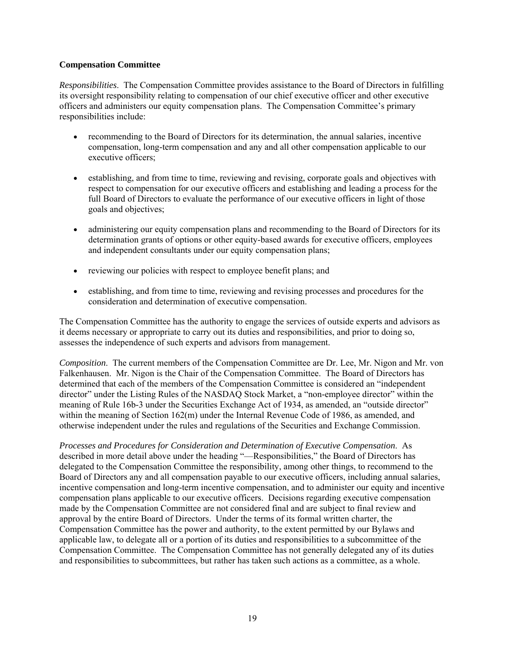## **Compensation Committee**

*Responsibilities*. The Compensation Committee provides assistance to the Board of Directors in fulfilling its oversight responsibility relating to compensation of our chief executive officer and other executive officers and administers our equity compensation plans. The Compensation Committee's primary responsibilities include:

- recommending to the Board of Directors for its determination, the annual salaries, incentive compensation, long-term compensation and any and all other compensation applicable to our executive officers;
- establishing, and from time to time, reviewing and revising, corporate goals and objectives with respect to compensation for our executive officers and establishing and leading a process for the full Board of Directors to evaluate the performance of our executive officers in light of those goals and objectives;
- administering our equity compensation plans and recommending to the Board of Directors for its determination grants of options or other equity-based awards for executive officers, employees and independent consultants under our equity compensation plans;
- reviewing our policies with respect to employee benefit plans; and
- establishing, and from time to time, reviewing and revising processes and procedures for the consideration and determination of executive compensation.

The Compensation Committee has the authority to engage the services of outside experts and advisors as it deems necessary or appropriate to carry out its duties and responsibilities, and prior to doing so, assesses the independence of such experts and advisors from management.

*Composition*. The current members of the Compensation Committee are Dr. Lee, Mr. Nigon and Mr. von Falkenhausen. Mr. Nigon is the Chair of the Compensation Committee. The Board of Directors has determined that each of the members of the Compensation Committee is considered an "independent director" under the Listing Rules of the NASDAQ Stock Market, a "non-employee director" within the meaning of Rule 16b-3 under the Securities Exchange Act of 1934, as amended, an "outside director" within the meaning of Section 162(m) under the Internal Revenue Code of 1986, as amended, and otherwise independent under the rules and regulations of the Securities and Exchange Commission.

*Processes and Procedures for Consideration and Determination of Executive Compensation*. As described in more detail above under the heading "—Responsibilities," the Board of Directors has delegated to the Compensation Committee the responsibility, among other things, to recommend to the Board of Directors any and all compensation payable to our executive officers, including annual salaries, incentive compensation and long-term incentive compensation, and to administer our equity and incentive compensation plans applicable to our executive officers. Decisions regarding executive compensation made by the Compensation Committee are not considered final and are subject to final review and approval by the entire Board of Directors. Under the terms of its formal written charter, the Compensation Committee has the power and authority, to the extent permitted by our Bylaws and applicable law, to delegate all or a portion of its duties and responsibilities to a subcommittee of the Compensation Committee. The Compensation Committee has not generally delegated any of its duties and responsibilities to subcommittees, but rather has taken such actions as a committee, as a whole.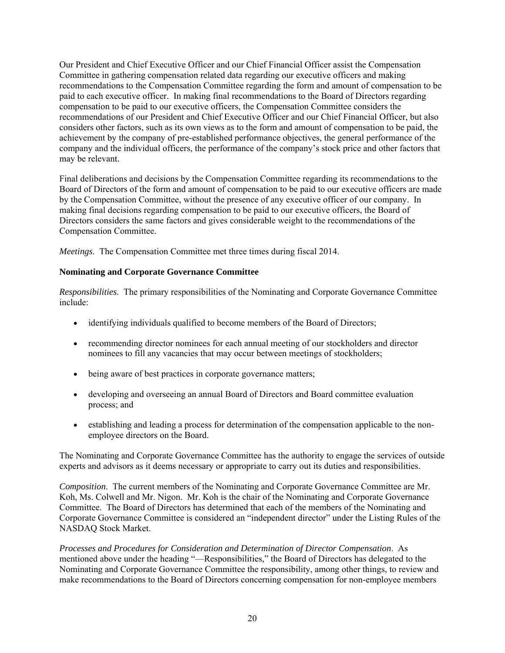Our President and Chief Executive Officer and our Chief Financial Officer assist the Compensation Committee in gathering compensation related data regarding our executive officers and making recommendations to the Compensation Committee regarding the form and amount of compensation to be paid to each executive officer. In making final recommendations to the Board of Directors regarding compensation to be paid to our executive officers, the Compensation Committee considers the recommendations of our President and Chief Executive Officer and our Chief Financial Officer, but also considers other factors, such as its own views as to the form and amount of compensation to be paid, the achievement by the company of pre-established performance objectives, the general performance of the company and the individual officers, the performance of the company's stock price and other factors that may be relevant.

Final deliberations and decisions by the Compensation Committee regarding its recommendations to the Board of Directors of the form and amount of compensation to be paid to our executive officers are made by the Compensation Committee, without the presence of any executive officer of our company. In making final decisions regarding compensation to be paid to our executive officers, the Board of Directors considers the same factors and gives considerable weight to the recommendations of the Compensation Committee.

*Meetings*. The Compensation Committee met three times during fiscal 2014.

## **Nominating and Corporate Governance Committee**

*Responsibilities*. The primary responsibilities of the Nominating and Corporate Governance Committee include:

- identifying individuals qualified to become members of the Board of Directors;
- recommending director nominees for each annual meeting of our stockholders and director nominees to fill any vacancies that may occur between meetings of stockholders;
- being aware of best practices in corporate governance matters;
- developing and overseeing an annual Board of Directors and Board committee evaluation process; and
- establishing and leading a process for determination of the compensation applicable to the nonemployee directors on the Board.

The Nominating and Corporate Governance Committee has the authority to engage the services of outside experts and advisors as it deems necessary or appropriate to carry out its duties and responsibilities.

*Composition*. The current members of the Nominating and Corporate Governance Committee are Mr. Koh, Ms. Colwell and Mr. Nigon. Mr. Koh is the chair of the Nominating and Corporate Governance Committee. The Board of Directors has determined that each of the members of the Nominating and Corporate Governance Committee is considered an "independent director" under the Listing Rules of the NASDAQ Stock Market.

*Processes and Procedures for Consideration and Determination of Director Compensation*. As mentioned above under the heading "—Responsibilities," the Board of Directors has delegated to the Nominating and Corporate Governance Committee the responsibility, among other things, to review and make recommendations to the Board of Directors concerning compensation for non-employee members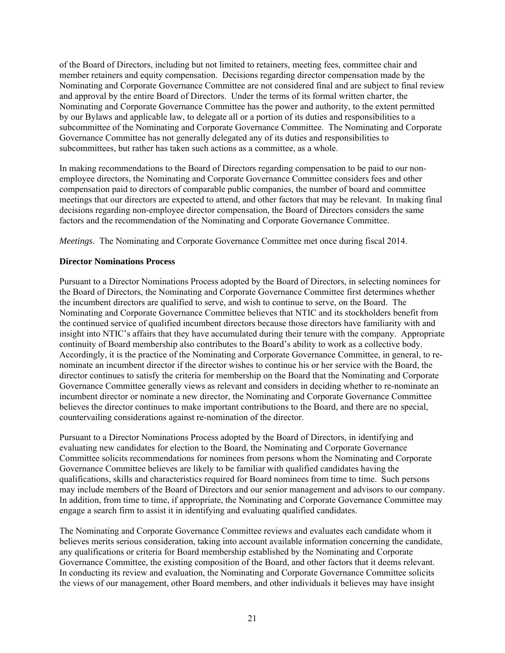of the Board of Directors, including but not limited to retainers, meeting fees, committee chair and member retainers and equity compensation. Decisions regarding director compensation made by the Nominating and Corporate Governance Committee are not considered final and are subject to final review and approval by the entire Board of Directors. Under the terms of its formal written charter, the Nominating and Corporate Governance Committee has the power and authority, to the extent permitted by our Bylaws and applicable law, to delegate all or a portion of its duties and responsibilities to a subcommittee of the Nominating and Corporate Governance Committee. The Nominating and Corporate Governance Committee has not generally delegated any of its duties and responsibilities to subcommittees, but rather has taken such actions as a committee, as a whole.

In making recommendations to the Board of Directors regarding compensation to be paid to our nonemployee directors, the Nominating and Corporate Governance Committee considers fees and other compensation paid to directors of comparable public companies, the number of board and committee meetings that our directors are expected to attend, and other factors that may be relevant. In making final decisions regarding non-employee director compensation, the Board of Directors considers the same factors and the recommendation of the Nominating and Corporate Governance Committee.

*Meetings*. The Nominating and Corporate Governance Committee met once during fiscal 2014.

# **Director Nominations Process**

Pursuant to a Director Nominations Process adopted by the Board of Directors, in selecting nominees for the Board of Directors, the Nominating and Corporate Governance Committee first determines whether the incumbent directors are qualified to serve, and wish to continue to serve, on the Board. The Nominating and Corporate Governance Committee believes that NTIC and its stockholders benefit from the continued service of qualified incumbent directors because those directors have familiarity with and insight into NTIC's affairs that they have accumulated during their tenure with the company. Appropriate continuity of Board membership also contributes to the Board's ability to work as a collective body. Accordingly, it is the practice of the Nominating and Corporate Governance Committee, in general, to renominate an incumbent director if the director wishes to continue his or her service with the Board, the director continues to satisfy the criteria for membership on the Board that the Nominating and Corporate Governance Committee generally views as relevant and considers in deciding whether to re-nominate an incumbent director or nominate a new director, the Nominating and Corporate Governance Committee believes the director continues to make important contributions to the Board, and there are no special, countervailing considerations against re-nomination of the director.

Pursuant to a Director Nominations Process adopted by the Board of Directors, in identifying and evaluating new candidates for election to the Board, the Nominating and Corporate Governance Committee solicits recommendations for nominees from persons whom the Nominating and Corporate Governance Committee believes are likely to be familiar with qualified candidates having the qualifications, skills and characteristics required for Board nominees from time to time. Such persons may include members of the Board of Directors and our senior management and advisors to our company. In addition, from time to time, if appropriate, the Nominating and Corporate Governance Committee may engage a search firm to assist it in identifying and evaluating qualified candidates.

The Nominating and Corporate Governance Committee reviews and evaluates each candidate whom it believes merits serious consideration, taking into account available information concerning the candidate, any qualifications or criteria for Board membership established by the Nominating and Corporate Governance Committee, the existing composition of the Board, and other factors that it deems relevant. In conducting its review and evaluation, the Nominating and Corporate Governance Committee solicits the views of our management, other Board members, and other individuals it believes may have insight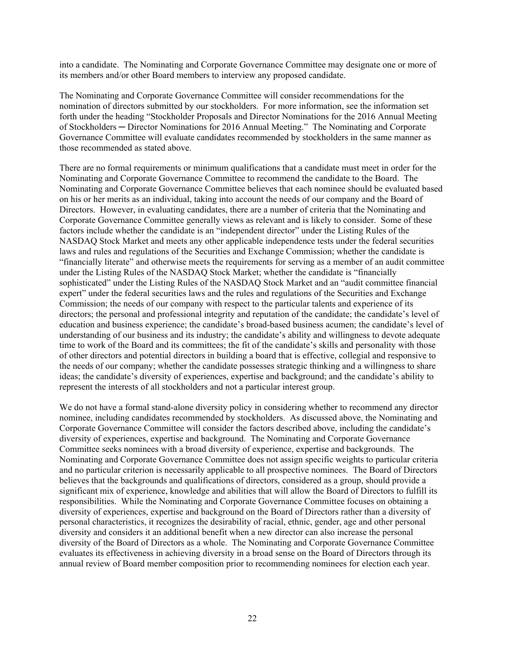into a candidate. The Nominating and Corporate Governance Committee may designate one or more of its members and/or other Board members to interview any proposed candidate.

The Nominating and Corporate Governance Committee will consider recommendations for the nomination of directors submitted by our stockholders. For more information, see the information set forth under the heading "Stockholder Proposals and Director Nominations for the 2016 Annual Meeting of Stockholders ─ Director Nominations for 2016 Annual Meeting." The Nominating and Corporate Governance Committee will evaluate candidates recommended by stockholders in the same manner as those recommended as stated above.

There are no formal requirements or minimum qualifications that a candidate must meet in order for the Nominating and Corporate Governance Committee to recommend the candidate to the Board. The Nominating and Corporate Governance Committee believes that each nominee should be evaluated based on his or her merits as an individual, taking into account the needs of our company and the Board of Directors. However, in evaluating candidates, there are a number of criteria that the Nominating and Corporate Governance Committee generally views as relevant and is likely to consider. Some of these factors include whether the candidate is an "independent director" under the Listing Rules of the NASDAQ Stock Market and meets any other applicable independence tests under the federal securities laws and rules and regulations of the Securities and Exchange Commission; whether the candidate is "financially literate" and otherwise meets the requirements for serving as a member of an audit committee under the Listing Rules of the NASDAQ Stock Market; whether the candidate is "financially sophisticated" under the Listing Rules of the NASDAQ Stock Market and an "audit committee financial expert" under the federal securities laws and the rules and regulations of the Securities and Exchange Commission; the needs of our company with respect to the particular talents and experience of its directors; the personal and professional integrity and reputation of the candidate; the candidate's level of education and business experience; the candidate's broad-based business acumen; the candidate's level of understanding of our business and its industry; the candidate's ability and willingness to devote adequate time to work of the Board and its committees; the fit of the candidate's skills and personality with those of other directors and potential directors in building a board that is effective, collegial and responsive to the needs of our company; whether the candidate possesses strategic thinking and a willingness to share ideas; the candidate's diversity of experiences, expertise and background; and the candidate's ability to represent the interests of all stockholders and not a particular interest group.

We do not have a formal stand-alone diversity policy in considering whether to recommend any director nominee, including candidates recommended by stockholders. As discussed above, the Nominating and Corporate Governance Committee will consider the factors described above, including the candidate's diversity of experiences, expertise and background. The Nominating and Corporate Governance Committee seeks nominees with a broad diversity of experience, expertise and backgrounds. The Nominating and Corporate Governance Committee does not assign specific weights to particular criteria and no particular criterion is necessarily applicable to all prospective nominees. The Board of Directors believes that the backgrounds and qualifications of directors, considered as a group, should provide a significant mix of experience, knowledge and abilities that will allow the Board of Directors to fulfill its responsibilities. While the Nominating and Corporate Governance Committee focuses on obtaining a diversity of experiences, expertise and background on the Board of Directors rather than a diversity of personal characteristics, it recognizes the desirability of racial, ethnic, gender, age and other personal diversity and considers it an additional benefit when a new director can also increase the personal diversity of the Board of Directors as a whole. The Nominating and Corporate Governance Committee evaluates its effectiveness in achieving diversity in a broad sense on the Board of Directors through its annual review of Board member composition prior to recommending nominees for election each year.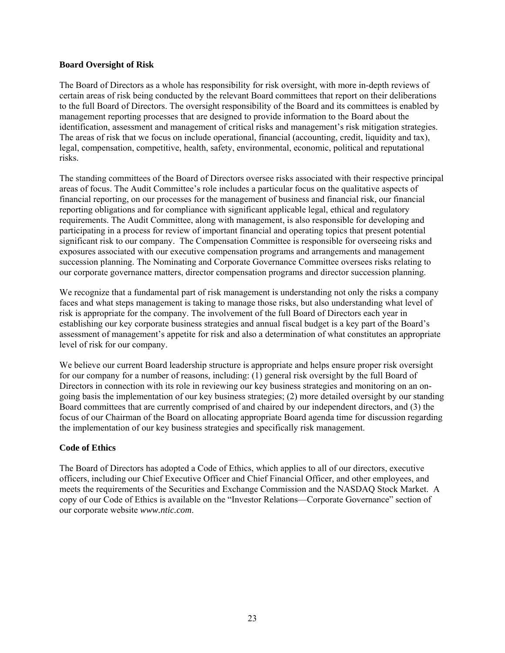#### **Board Oversight of Risk**

The Board of Directors as a whole has responsibility for risk oversight, with more in-depth reviews of certain areas of risk being conducted by the relevant Board committees that report on their deliberations to the full Board of Directors. The oversight responsibility of the Board and its committees is enabled by management reporting processes that are designed to provide information to the Board about the identification, assessment and management of critical risks and management's risk mitigation strategies. The areas of risk that we focus on include operational, financial (accounting, credit, liquidity and tax), legal, compensation, competitive, health, safety, environmental, economic, political and reputational risks.

The standing committees of the Board of Directors oversee risks associated with their respective principal areas of focus. The Audit Committee's role includes a particular focus on the qualitative aspects of financial reporting, on our processes for the management of business and financial risk, our financial reporting obligations and for compliance with significant applicable legal, ethical and regulatory requirements. The Audit Committee, along with management, is also responsible for developing and participating in a process for review of important financial and operating topics that present potential significant risk to our company. The Compensation Committee is responsible for overseeing risks and exposures associated with our executive compensation programs and arrangements and management succession planning. The Nominating and Corporate Governance Committee oversees risks relating to our corporate governance matters, director compensation programs and director succession planning.

We recognize that a fundamental part of risk management is understanding not only the risks a company faces and what steps management is taking to manage those risks, but also understanding what level of risk is appropriate for the company. The involvement of the full Board of Directors each year in establishing our key corporate business strategies and annual fiscal budget is a key part of the Board's assessment of management's appetite for risk and also a determination of what constitutes an appropriate level of risk for our company.

We believe our current Board leadership structure is appropriate and helps ensure proper risk oversight for our company for a number of reasons, including: (1) general risk oversight by the full Board of Directors in connection with its role in reviewing our key business strategies and monitoring on an ongoing basis the implementation of our key business strategies; (2) more detailed oversight by our standing Board committees that are currently comprised of and chaired by our independent directors, and (3) the focus of our Chairman of the Board on allocating appropriate Board agenda time for discussion regarding the implementation of our key business strategies and specifically risk management.

### **Code of Ethics**

The Board of Directors has adopted a Code of Ethics, which applies to all of our directors, executive officers, including our Chief Executive Officer and Chief Financial Officer, and other employees, and meets the requirements of the Securities and Exchange Commission and the NASDAQ Stock Market. A copy of our Code of Ethics is available on the "Investor Relations—Corporate Governance" section of our corporate website *www.ntic.com*.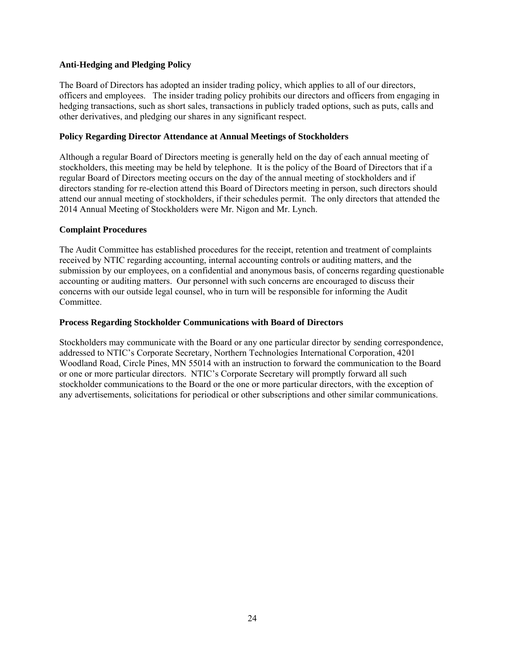### **Anti-Hedging and Pledging Policy**

The Board of Directors has adopted an insider trading policy, which applies to all of our directors, officers and employees. The insider trading policy prohibits our directors and officers from engaging in hedging transactions, such as short sales, transactions in publicly traded options, such as puts, calls and other derivatives, and pledging our shares in any significant respect.

#### **Policy Regarding Director Attendance at Annual Meetings of Stockholders**

Although a regular Board of Directors meeting is generally held on the day of each annual meeting of stockholders, this meeting may be held by telephone. It is the policy of the Board of Directors that if a regular Board of Directors meeting occurs on the day of the annual meeting of stockholders and if directors standing for re-election attend this Board of Directors meeting in person, such directors should attend our annual meeting of stockholders, if their schedules permit. The only directors that attended the 2014 Annual Meeting of Stockholders were Mr. Nigon and Mr. Lynch.

#### **Complaint Procedures**

The Audit Committee has established procedures for the receipt, retention and treatment of complaints received by NTIC regarding accounting, internal accounting controls or auditing matters, and the submission by our employees, on a confidential and anonymous basis, of concerns regarding questionable accounting or auditing matters. Our personnel with such concerns are encouraged to discuss their concerns with our outside legal counsel, who in turn will be responsible for informing the Audit **Committee** 

#### **Process Regarding Stockholder Communications with Board of Directors**

Stockholders may communicate with the Board or any one particular director by sending correspondence, addressed to NTIC's Corporate Secretary, Northern Technologies International Corporation, 4201 Woodland Road, Circle Pines, MN 55014 with an instruction to forward the communication to the Board or one or more particular directors. NTIC's Corporate Secretary will promptly forward all such stockholder communications to the Board or the one or more particular directors, with the exception of any advertisements, solicitations for periodical or other subscriptions and other similar communications.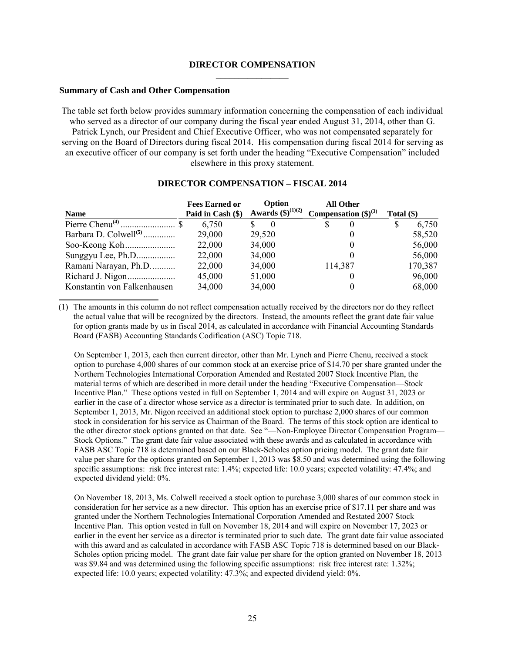#### **DIRECTOR COMPENSATION \_\_\_\_\_\_\_\_\_\_\_\_\_\_\_\_**

#### **Summary of Cash and Other Compensation**

The table set forth below provides summary information concerning the compensation of each individual who served as a director of our company during the fiscal year ended August 31, 2014, other than G. Patrick Lynch, our President and Chief Executive Officer, who was not compensated separately for serving on the Board of Directors during fiscal 2014. His compensation during fiscal 2014 for serving as an executive officer of our company is set forth under the heading "Executive Compensation" included elsewhere in this proxy statement.

| <b>Name</b>                       | <b>Fees Earned or</b><br>Paid in Cash (\$) | Option<br><b>Awards</b> $(\$)^{(1)(2)}$ | <b>All Other</b><br>Compensation $(\text{$\$})^{(3)}$ | Total $(\$)$ |
|-----------------------------------|--------------------------------------------|-----------------------------------------|-------------------------------------------------------|--------------|
|                                   | 6,750                                      | $\theta$                                | S                                                     | \$<br>6,750  |
| Barbara D. Colwell <sup>(5)</sup> | 29,000                                     | 29,520                                  |                                                       | 58,520       |
|                                   | 22,000                                     | 34,000                                  |                                                       | 56,000       |
| Sunggyu Lee, Ph.D                 | 22,000                                     | 34,000                                  |                                                       | 56,000       |
| Ramani Narayan, Ph.D              | 22,000                                     | 34,000                                  | 114,387                                               | 170,387      |
|                                   | 45,000                                     | 51,000                                  |                                                       | 96,000       |
| Konstantin von Falkenhausen       | 34,000                                     | 34,000                                  |                                                       | 68,000       |

#### **DIRECTOR COMPENSATION – FISCAL 2014**

(1) The amounts in this column do not reflect compensation actually received by the directors nor do they reflect the actual value that will be recognized by the directors. Instead, the amounts reflect the grant date fair value for option grants made by us in fiscal 2014, as calculated in accordance with Financial Accounting Standards Board (FASB) Accounting Standards Codification (ASC) Topic 718.

On September 1, 2013, each then current director, other than Mr. Lynch and Pierre Chenu, received a stock option to purchase 4,000 shares of our common stock at an exercise price of \$14.70 per share granted under the Northern Technologies International Corporation Amended and Restated 2007 Stock Incentive Plan, the material terms of which are described in more detail under the heading "Executive Compensation—Stock Incentive Plan." These options vested in full on September 1, 2014 and will expire on August 31, 2023 or earlier in the case of a director whose service as a director is terminated prior to such date. In addition, on September 1, 2013, Mr. Nigon received an additional stock option to purchase 2,000 shares of our common stock in consideration for his service as Chairman of the Board. The terms of this stock option are identical to the other director stock options granted on that date. See "-Non-Employee Director Compensation Program-Stock Options." The grant date fair value associated with these awards and as calculated in accordance with FASB ASC Topic 718 is determined based on our Black-Scholes option pricing model. The grant date fair value per share for the options granted on September 1, 2013 was \$8.50 and was determined using the following specific assumptions: risk free interest rate: 1.4%; expected life: 10.0 years; expected volatility: 47.4%; and expected dividend yield: 0%.

On November 18, 2013, Ms. Colwell received a stock option to purchase 3,000 shares of our common stock in consideration for her service as a new director. This option has an exercise price of \$17.11 per share and was granted under the Northern Technologies International Corporation Amended and Restated 2007 Stock Incentive Plan. This option vested in full on November 18, 2014 and will expire on November 17, 2023 or earlier in the event her service as a director is terminated prior to such date. The grant date fair value associated with this award and as calculated in accordance with FASB ASC Topic 718 is determined based on our Black-Scholes option pricing model. The grant date fair value per share for the option granted on November 18, 2013 was \$9.84 and was determined using the following specific assumptions: risk free interest rate: 1.32%; expected life: 10.0 years; expected volatility: 47.3%; and expected dividend yield: 0%.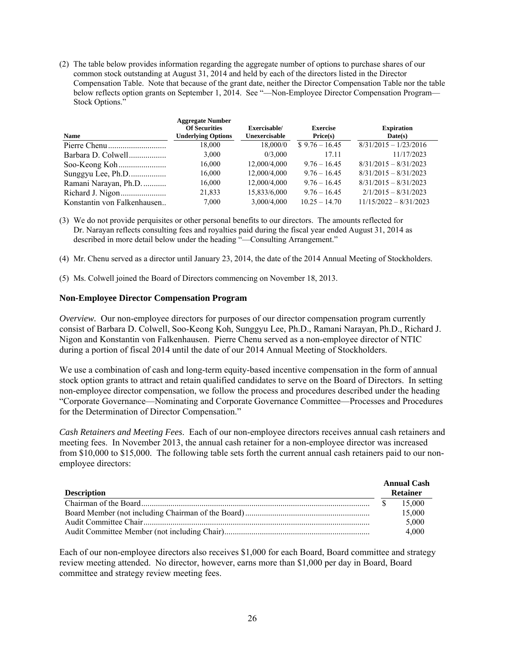(2) The table below provides information regarding the aggregate number of options to purchase shares of our common stock outstanding at August 31, 2014 and held by each of the directors listed in the Director Compensation Table. Note that because of the grant date, neither the Director Compensation Table nor the table below reflects option grants on September 1, 2014. See "—Non-Employee Director Compensation Program— Stock Options."

|                             | <b>Aggregate Number</b>                           |                               |                             |                              |
|-----------------------------|---------------------------------------------------|-------------------------------|-----------------------------|------------------------------|
| <b>Name</b>                 | <b>Of Securities</b><br><b>Underlying Options</b> | Exercisable/<br>Unexercisable | <b>Exercise</b><br>Price(s) | <b>Expiration</b><br>Date(s) |
|                             | 18,000                                            | 18,000/0                      | $$9.76 - 16.45$             | $8/31/2015 - 1/23/2016$      |
|                             | 3,000                                             | 0/3.000                       | 17.11                       | 11/17/2023                   |
|                             | 16,000                                            | 12,000/4,000                  | $9.76 - 16.45$              | $8/31/2015 - 8/31/2023$      |
| Sunggyu Lee, Ph.D           | 16,000                                            | 12,000/4,000                  | $9.76 - 16.45$              | $8/31/2015 - 8/31/2023$      |
| Ramani Narayan, Ph.D        | 16,000                                            | 12,000/4,000                  | $9.76 - 16.45$              | $8/31/2015 - 8/31/2023$      |
|                             | 21,833                                            | 15,833/6,000                  | $9.76 - 16.45$              | $2/1/2015 - 8/31/2023$       |
| Konstantin von Falkenhausen | 7,000                                             | 3.000/4.000                   | $10.25 - 14.70$             | $11/15/2022 - 8/31/2023$     |

- (3) We do not provide perquisites or other personal benefits to our directors. The amounts reflected for Dr. Narayan reflects consulting fees and royalties paid during the fiscal year ended August 31, 2014 as described in more detail below under the heading "-Consulting Arrangement."
- (4) Mr. Chenu served as a director until January 23, 2014, the date of the 2014 Annual Meeting of Stockholders.
- (5) Ms. Colwell joined the Board of Directors commencing on November 18, 2013.

#### **Non-Employee Director Compensation Program**

*Overview.* Our non-employee directors for purposes of our director compensation program currently consist of Barbara D. Colwell, Soo-Keong Koh, Sunggyu Lee, Ph.D., Ramani Narayan, Ph.D., Richard J. Nigon and Konstantin von Falkenhausen. Pierre Chenu served as a non-employee director of NTIC during a portion of fiscal 2014 until the date of our 2014 Annual Meeting of Stockholders.

We use a combination of cash and long-term equity-based incentive compensation in the form of annual stock option grants to attract and retain qualified candidates to serve on the Board of Directors. In setting non-employee director compensation, we follow the process and procedures described under the heading "Corporate Governance—Nominating and Corporate Governance Committee—Processes and Procedures for the Determination of Director Compensation."

*Cash Retainers and Meeting Fees*. Each of our non-employee directors receives annual cash retainers and meeting fees. In November 2013, the annual cash retainer for a non-employee director was increased from \$10,000 to \$15,000. The following table sets forth the current annual cash retainers paid to our nonemployee directors:

| <b>Description</b> | Annual Cash<br><b>Retainer</b> |
|--------------------|--------------------------------|
|                    | 15.000                         |
|                    | 15,000                         |
|                    | 5,000                          |
|                    | 4.000                          |

Each of our non-employee directors also receives \$1,000 for each Board, Board committee and strategy review meeting attended. No director, however, earns more than \$1,000 per day in Board, Board committee and strategy review meeting fees.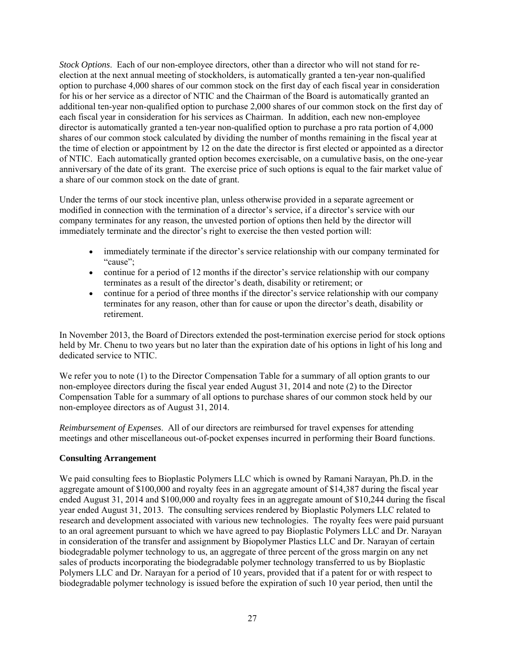*Stock Options*. Each of our non-employee directors, other than a director who will not stand for reelection at the next annual meeting of stockholders, is automatically granted a ten-year non-qualified option to purchase 4,000 shares of our common stock on the first day of each fiscal year in consideration for his or her service as a director of NTIC and the Chairman of the Board is automatically granted an additional ten-year non-qualified option to purchase 2,000 shares of our common stock on the first day of each fiscal year in consideration for his services as Chairman. In addition, each new non-employee director is automatically granted a ten-year non-qualified option to purchase a pro rata portion of 4,000 shares of our common stock calculated by dividing the number of months remaining in the fiscal year at the time of election or appointment by 12 on the date the director is first elected or appointed as a director of NTIC. Each automatically granted option becomes exercisable, on a cumulative basis, on the one-year anniversary of the date of its grant. The exercise price of such options is equal to the fair market value of a share of our common stock on the date of grant.

Under the terms of our stock incentive plan, unless otherwise provided in a separate agreement or modified in connection with the termination of a director's service, if a director's service with our company terminates for any reason, the unvested portion of options then held by the director will immediately terminate and the director's right to exercise the then vested portion will:

- immediately terminate if the director's service relationship with our company terminated for "cause";
- continue for a period of 12 months if the director's service relationship with our company terminates as a result of the director's death, disability or retirement; or
- continue for a period of three months if the director's service relationship with our company terminates for any reason, other than for cause or upon the director's death, disability or retirement.

In November 2013, the Board of Directors extended the post-termination exercise period for stock options held by Mr. Chenu to two years but no later than the expiration date of his options in light of his long and dedicated service to NTIC.

We refer you to note (1) to the Director Compensation Table for a summary of all option grants to our non-employee directors during the fiscal year ended August 31, 2014 and note (2) to the Director Compensation Table for a summary of all options to purchase shares of our common stock held by our non-employee directors as of August 31, 2014.

*Reimbursement of Expenses*. All of our directors are reimbursed for travel expenses for attending meetings and other miscellaneous out-of-pocket expenses incurred in performing their Board functions.

### **Consulting Arrangement**

We paid consulting fees to Bioplastic Polymers LLC which is owned by Ramani Narayan, Ph.D. in the aggregate amount of \$100,000 and royalty fees in an aggregate amount of \$14,387 during the fiscal year ended August 31, 2014 and \$100,000 and royalty fees in an aggregate amount of \$10,244 during the fiscal year ended August 31, 2013. The consulting services rendered by Bioplastic Polymers LLC related to research and development associated with various new technologies. The royalty fees were paid pursuant to an oral agreement pursuant to which we have agreed to pay Bioplastic Polymers LLC and Dr. Narayan in consideration of the transfer and assignment by Biopolymer Plastics LLC and Dr. Narayan of certain biodegradable polymer technology to us, an aggregate of three percent of the gross margin on any net sales of products incorporating the biodegradable polymer technology transferred to us by Bioplastic Polymers LLC and Dr. Narayan for a period of 10 years, provided that if a patent for or with respect to biodegradable polymer technology is issued before the expiration of such 10 year period, then until the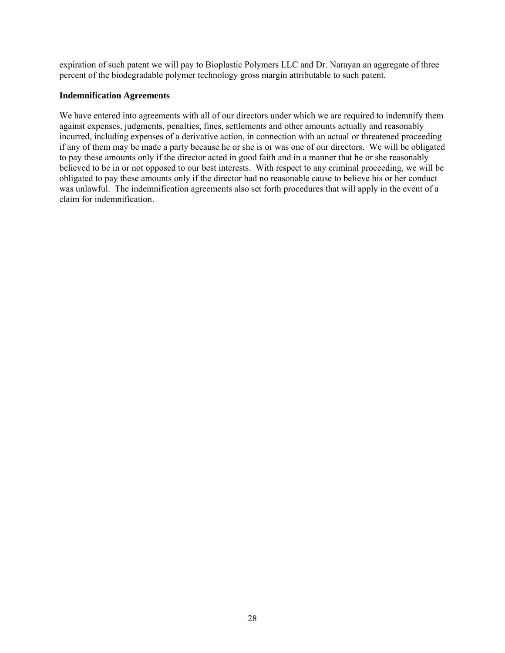expiration of such patent we will pay to Bioplastic Polymers LLC and Dr. Narayan an aggregate of three percent of the biodegradable polymer technology gross margin attributable to such patent.

### **Indemnification Agreements**

We have entered into agreements with all of our directors under which we are required to indemnify them against expenses, judgments, penalties, fines, settlements and other amounts actually and reasonably incurred, including expenses of a derivative action, in connection with an actual or threatened proceeding if any of them may be made a party because he or she is or was one of our directors. We will be obligated to pay these amounts only if the director acted in good faith and in a manner that he or she reasonably believed to be in or not opposed to our best interests. With respect to any criminal proceeding, we will be obligated to pay these amounts only if the director had no reasonable cause to believe his or her conduct was unlawful. The indemnification agreements also set forth procedures that will apply in the event of a claim for indemnification.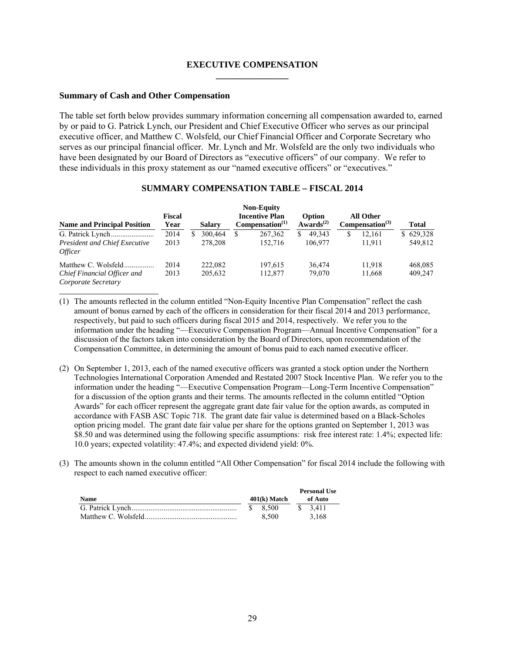#### **EXECUTIVE COMPENSATION \_\_\_\_\_\_\_\_\_\_\_\_\_\_\_\_**

#### **Summary of Cash and Other Compensation**

The table set forth below provides summary information concerning all compensation awarded to, earned by or paid to G. Patrick Lynch, our President and Chief Executive Officer who serves as our principal executive officer, and Matthew C. Wolsfeld, our Chief Financial Officer and Corporate Secretary who serves as our principal financial officer. Mr. Lynch and Mr. Wolsfeld are the only two individuals who have been designated by our Board of Directors as "executive officers" of our company. We refer to these individuals in this proxy statement as our "named executive officers" or "executives."

| <b>Name and Principal Position</b>                                        | <b>Fiscal</b><br>Year | <b>Salary</b>      |     | <b>Non-Equity</b><br><b>Incentive Plan</b><br>Compensation <sup>(1)</sup> |   | Option<br>Awards <sup><math>(2)</math></sup> |   | <b>All Other</b><br>Compensation <sup>(3)</sup> | <b>Total</b>         |
|---------------------------------------------------------------------------|-----------------------|--------------------|-----|---------------------------------------------------------------------------|---|----------------------------------------------|---|-------------------------------------------------|----------------------|
| <b>President and Chief Executive</b><br><i>Officer</i>                    | 2014<br>2013          | 300.464<br>278,208 | \$. | 267,362<br>152,716                                                        | S | 49.343<br>106,977                            | S | 12.161<br>11.911                                | \$629,328<br>549,812 |
| Matthew C. Wolsfeld<br>Chief Financial Officer and<br>Corporate Secretary | 2014<br>2013          | 222,082<br>205,632 |     | 197,615<br>112,877                                                        |   | 36,474<br>79,070                             |   | 11.918<br>11,668                                | 468,085<br>409,247   |

### **SUMMARY COMPENSATION TABLE – FISCAL 2014**

(1) The amounts reflected in the column entitled "Non-Equity Incentive Plan Compensation" reflect the cash amount of bonus earned by each of the officers in consideration for their fiscal 2014 and 2013 performance, respectively, but paid to such officers during fiscal 2015 and 2014, respectively. We refer you to the information under the heading "—Executive Compensation Program—Annual Incentive Compensation" for a discussion of the factors taken into consideration by the Board of Directors, upon recommendation of the Compensation Committee, in determining the amount of bonus paid to each named executive officer.

- (2) On September 1, 2013, each of the named executive officers was granted a stock option under the Northern Technologies International Corporation Amended and Restated 2007 Stock Incentive Plan. We refer you to the information under the heading "—Executive Compensation Program—Long-Term Incentive Compensation" for a discussion of the option grants and their terms. The amounts reflected in the column entitled "Option Awards" for each officer represent the aggregate grant date fair value for the option awards, as computed in accordance with FASB ASC Topic 718. The grant date fair value is determined based on a Black-Scholes option pricing model. The grant date fair value per share for the options granted on September 1, 2013 was \$8.50 and was determined using the following specific assumptions: risk free interest rate: 1.4%; expected life: 10.0 years; expected volatility: 47.4%; and expected dividend yield: 0%.
- (3) The amounts shown in the column entitled "All Other Compensation" for fiscal 2014 include the following with respect to each named executive officer:

|             |                | <b>Personal Use</b> |
|-------------|----------------|---------------------|
| <b>Name</b> | $401(k)$ Match | of Auto             |
|             | \$ 8.500       | $\frac{1}{2}$ 3.411 |
|             | 8.500          | 3.168               |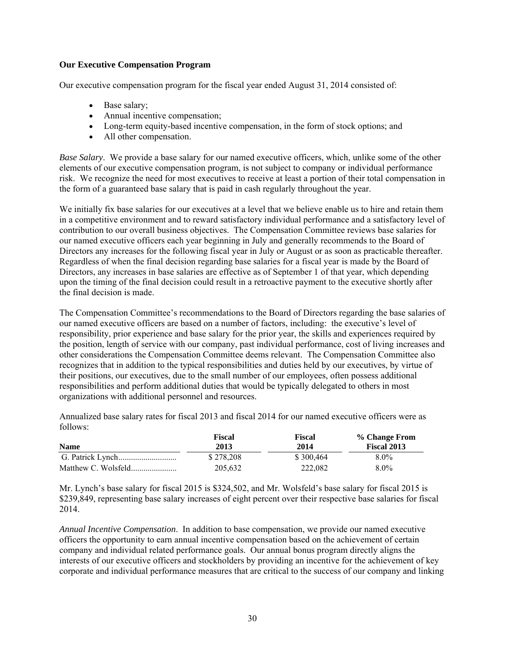### **Our Executive Compensation Program**

Our executive compensation program for the fiscal year ended August 31, 2014 consisted of:

- Base salary;
- Annual incentive compensation;
- Long-term equity-based incentive compensation, in the form of stock options; and
- All other compensation.

*Base Salary*. We provide a base salary for our named executive officers, which, unlike some of the other elements of our executive compensation program, is not subject to company or individual performance risk. We recognize the need for most executives to receive at least a portion of their total compensation in the form of a guaranteed base salary that is paid in cash regularly throughout the year.

We initially fix base salaries for our executives at a level that we believe enable us to hire and retain them in a competitive environment and to reward satisfactory individual performance and a satisfactory level of contribution to our overall business objectives. The Compensation Committee reviews base salaries for our named executive officers each year beginning in July and generally recommends to the Board of Directors any increases for the following fiscal year in July or August or as soon as practicable thereafter. Regardless of when the final decision regarding base salaries for a fiscal year is made by the Board of Directors, any increases in base salaries are effective as of September 1 of that year, which depending upon the timing of the final decision could result in a retroactive payment to the executive shortly after the final decision is made.

The Compensation Committee's recommendations to the Board of Directors regarding the base salaries of our named executive officers are based on a number of factors, including: the executive's level of responsibility, prior experience and base salary for the prior year, the skills and experiences required by the position, length of service with our company, past individual performance, cost of living increases and other considerations the Compensation Committee deems relevant. The Compensation Committee also recognizes that in addition to the typical responsibilities and duties held by our executives, by virtue of their positions, our executives, due to the small number of our employees, often possess additional responsibilities and perform additional duties that would be typically delegated to others in most organizations with additional personnel and resources.

Annualized base salary rates for fiscal 2013 and fiscal 2014 for our named executive officers were as follows:

| <b>Name</b> | <b>Fiscal</b><br>2013 | <b>Fiscal</b><br>2014 | % Change From<br><b>Fiscal 2013</b> |
|-------------|-----------------------|-----------------------|-------------------------------------|
|             | \$278.208             | \$300.464             | $8.0\%$                             |
|             | 205.632               | 222.082               | 8.0%                                |

Mr. Lynch's base salary for fiscal 2015 is \$324,502, and Mr. Wolsfeld's base salary for fiscal 2015 is \$239,849, representing base salary increases of eight percent over their respective base salaries for fiscal 2014.

*Annual Incentive Compensation*. In addition to base compensation, we provide our named executive officers the opportunity to earn annual incentive compensation based on the achievement of certain company and individual related performance goals. Our annual bonus program directly aligns the interests of our executive officers and stockholders by providing an incentive for the achievement of key corporate and individual performance measures that are critical to the success of our company and linking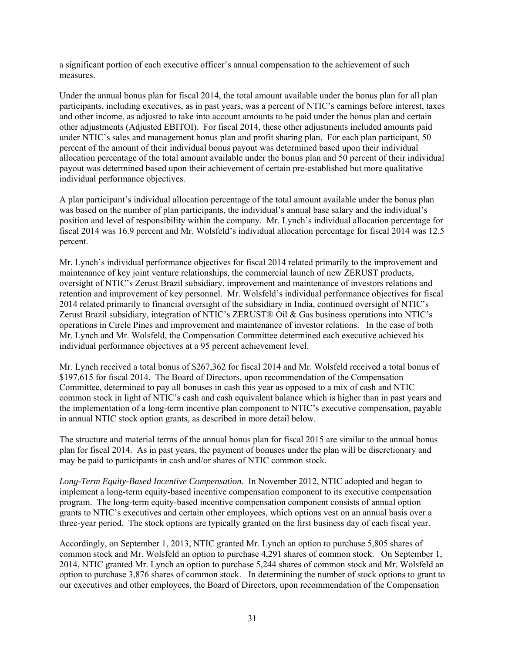a significant portion of each executive officer's annual compensation to the achievement of such measures.

Under the annual bonus plan for fiscal 2014, the total amount available under the bonus plan for all plan participants, including executives, as in past years, was a percent of NTIC's earnings before interest, taxes and other income, as adjusted to take into account amounts to be paid under the bonus plan and certain other adjustments (Adjusted EBITOI). For fiscal 2014, these other adjustments included amounts paid under NTIC's sales and management bonus plan and profit sharing plan. For each plan participant, 50 percent of the amount of their individual bonus payout was determined based upon their individual allocation percentage of the total amount available under the bonus plan and 50 percent of their individual payout was determined based upon their achievement of certain pre-established but more qualitative individual performance objectives.

A plan participant's individual allocation percentage of the total amount available under the bonus plan was based on the number of plan participants, the individual's annual base salary and the individual's position and level of responsibility within the company. Mr. Lynch's individual allocation percentage for fiscal 2014 was 16.9 percent and Mr. Wolsfeld's individual allocation percentage for fiscal 2014 was 12.5 percent.

Mr. Lynch's individual performance objectives for fiscal 2014 related primarily to the improvement and maintenance of key joint venture relationships, the commercial launch of new ZERUST products, oversight of NTIC's Zerust Brazil subsidiary, improvement and maintenance of investors relations and retention and improvement of key personnel. Mr. Wolsfeld's individual performance objectives for fiscal 2014 related primarily to financial oversight of the subsidiary in India, continued oversight of NTIC's Zerust Brazil subsidiary, integration of NTIC's ZERUST® Oil & Gas business operations into NTIC's operations in Circle Pines and improvement and maintenance of investor relations. In the case of both Mr. Lynch and Mr. Wolsfeld, the Compensation Committee determined each executive achieved his individual performance objectives at a 95 percent achievement level.

Mr. Lynch received a total bonus of \$267,362 for fiscal 2014 and Mr. Wolsfeld received a total bonus of \$197,615 for fiscal 2014. The Board of Directors, upon recommendation of the Compensation Committee, determined to pay all bonuses in cash this year as opposed to a mix of cash and NTIC common stock in light of NTIC's cash and cash equivalent balance which is higher than in past years and the implementation of a long-term incentive plan component to NTIC's executive compensation, payable in annual NTIC stock option grants, as described in more detail below.

The structure and material terms of the annual bonus plan for fiscal 2015 are similar to the annual bonus plan for fiscal 2014. As in past years, the payment of bonuses under the plan will be discretionary and may be paid to participants in cash and/or shares of NTIC common stock.

*Long-Term Equity-Based Incentive Compensation*. In November 2012, NTIC adopted and began to implement a long-term equity-based incentive compensation component to its executive compensation program. The long-term equity-based incentive compensation component consists of annual option grants to NTIC's executives and certain other employees, which options vest on an annual basis over a three-year period. The stock options are typically granted on the first business day of each fiscal year.

Accordingly, on September 1, 2013, NTIC granted Mr. Lynch an option to purchase 5,805 shares of common stock and Mr. Wolsfeld an option to purchase 4,291 shares of common stock. On September 1, 2014, NTIC granted Mr. Lynch an option to purchase 5,244 shares of common stock and Mr. Wolsfeld an option to purchase 3,876 shares of common stock. In determining the number of stock options to grant to our executives and other employees, the Board of Directors, upon recommendation of the Compensation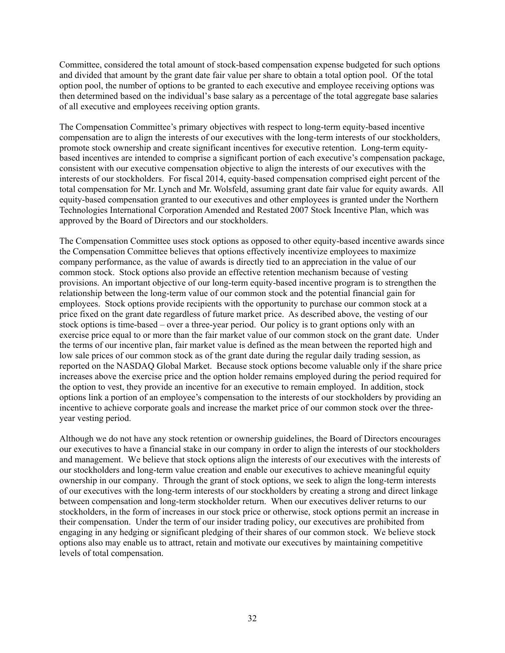Committee, considered the total amount of stock-based compensation expense budgeted for such options and divided that amount by the grant date fair value per share to obtain a total option pool. Of the total option pool, the number of options to be granted to each executive and employee receiving options was then determined based on the individual's base salary as a percentage of the total aggregate base salaries of all executive and employees receiving option grants.

The Compensation Committee's primary objectives with respect to long-term equity-based incentive compensation are to align the interests of our executives with the long-term interests of our stockholders, promote stock ownership and create significant incentives for executive retention. Long-term equitybased incentives are intended to comprise a significant portion of each executive's compensation package, consistent with our executive compensation objective to align the interests of our executives with the interests of our stockholders. For fiscal 2014, equity-based compensation comprised eight percent of the total compensation for Mr. Lynch and Mr. Wolsfeld, assuming grant date fair value for equity awards. All equity-based compensation granted to our executives and other employees is granted under the Northern Technologies International Corporation Amended and Restated 2007 Stock Incentive Plan, which was approved by the Board of Directors and our stockholders.

The Compensation Committee uses stock options as opposed to other equity-based incentive awards since the Compensation Committee believes that options effectively incentivize employees to maximize company performance, as the value of awards is directly tied to an appreciation in the value of our common stock. Stock options also provide an effective retention mechanism because of vesting provisions. An important objective of our long-term equity-based incentive program is to strengthen the relationship between the long-term value of our common stock and the potential financial gain for employees. Stock options provide recipients with the opportunity to purchase our common stock at a price fixed on the grant date regardless of future market price. As described above, the vesting of our stock options is time-based – over a three-year period. Our policy is to grant options only with an exercise price equal to or more than the fair market value of our common stock on the grant date. Under the terms of our incentive plan, fair market value is defined as the mean between the reported high and low sale prices of our common stock as of the grant date during the regular daily trading session, as reported on the NASDAQ Global Market. Because stock options become valuable only if the share price increases above the exercise price and the option holder remains employed during the period required for the option to vest, they provide an incentive for an executive to remain employed. In addition, stock options link a portion of an employee's compensation to the interests of our stockholders by providing an incentive to achieve corporate goals and increase the market price of our common stock over the threeyear vesting period.

Although we do not have any stock retention or ownership guidelines, the Board of Directors encourages our executives to have a financial stake in our company in order to align the interests of our stockholders and management. We believe that stock options align the interests of our executives with the interests of our stockholders and long-term value creation and enable our executives to achieve meaningful equity ownership in our company. Through the grant of stock options, we seek to align the long-term interests of our executives with the long-term interests of our stockholders by creating a strong and direct linkage between compensation and long-term stockholder return. When our executives deliver returns to our stockholders, in the form of increases in our stock price or otherwise, stock options permit an increase in their compensation. Under the term of our insider trading policy, our executives are prohibited from engaging in any hedging or significant pledging of their shares of our common stock. We believe stock options also may enable us to attract, retain and motivate our executives by maintaining competitive levels of total compensation.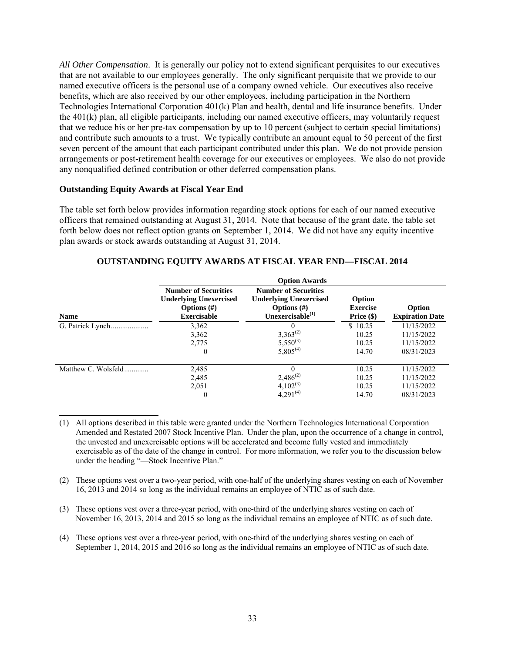*All Other Compensation*. It is generally our policy not to extend significant perquisites to our executives that are not available to our employees generally. The only significant perquisite that we provide to our named executive officers is the personal use of a company owned vehicle. Our executives also receive benefits, which are also received by our other employees, including participation in the Northern Technologies International Corporation 401(k) Plan and health, dental and life insurance benefits. Under the 401(k) plan, all eligible participants, including our named executive officers, may voluntarily request that we reduce his or her pre-tax compensation by up to 10 percent (subject to certain special limitations) and contribute such amounts to a trust. We typically contribute an amount equal to 50 percent of the first seven percent of the amount that each participant contributed under this plan. We do not provide pension arrangements or post-retirement health coverage for our executives or employees. We also do not provide any nonqualified defined contribution or other deferred compensation plans.

#### **Outstanding Equity Awards at Fiscal Year End**

The table set forth below provides information regarding stock options for each of our named executive officers that remained outstanding at August 31, 2014. Note that because of the grant date, the table set forth below does not reflect option grants on September 1, 2014. We did not have any equity incentive plan awards or stock awards outstanding at August 31, 2014.

|                           | <b>Option Awards</b>                                                                                 |                                                                                                          |                                           |                                                      |  |  |  |
|---------------------------|------------------------------------------------------------------------------------------------------|----------------------------------------------------------------------------------------------------------|-------------------------------------------|------------------------------------------------------|--|--|--|
| <b>Name</b>               | <b>Number of Securities</b><br><b>Underlying Unexercised</b><br>Options $(\#)$<br><b>Exercisable</b> | <b>Number of Securities</b><br><b>Underlying Unexercised</b><br>Options $(\#)$<br>Unexercisable $^{(1)}$ | Option<br><b>Exercise</b><br>Price $(\$)$ | Option<br><b>Expiration Date</b>                     |  |  |  |
| G. Patrick Lynch          | 3,362<br>3,362<br>2,775<br>$\bf{0}$                                                                  | $3,363^{(2)}$<br>$5,550^{(3)}$<br>$5,805^{(4)}$                                                          | \$10.25<br>10.25<br>10.25<br>14.70        | 11/15/2022<br>11/15/2022<br>11/15/2022<br>08/31/2023 |  |  |  |
| Matthew C. Wolsfeld.<br>. | 2,485<br>2,485<br>2,051<br>$\theta$                                                                  | $2,486^{(2)}$<br>$4,102^{(3)}$<br>$4,291^{(4)}$                                                          | 10.25<br>10.25<br>10.25<br>14.70          | 11/15/2022<br>11/15/2022<br>11/15/2022<br>08/31/2023 |  |  |  |

### **OUTSTANDING EQUITY AWARDS AT FISCAL YEAR END—FISCAL 2014**

(1) All options described in this table were granted under the Northern Technologies International Corporation Amended and Restated 2007 Stock Incentive Plan. Under the plan, upon the occurrence of a change in control, the unvested and unexercisable options will be accelerated and become fully vested and immediately exercisable as of the date of the change in control. For more information, we refer you to the discussion below under the heading "—Stock Incentive Plan."

- (2) These options vest over a two-year period, with one-half of the underlying shares vesting on each of November 16, 2013 and 2014 so long as the individual remains an employee of NTIC as of such date.
- (3) These options vest over a three-year period, with one-third of the underlying shares vesting on each of November 16, 2013, 2014 and 2015 so long as the individual remains an employee of NTIC as of such date.
- (4) These options vest over a three-year period, with one-third of the underlying shares vesting on each of September 1, 2014, 2015 and 2016 so long as the individual remains an employee of NTIC as of such date.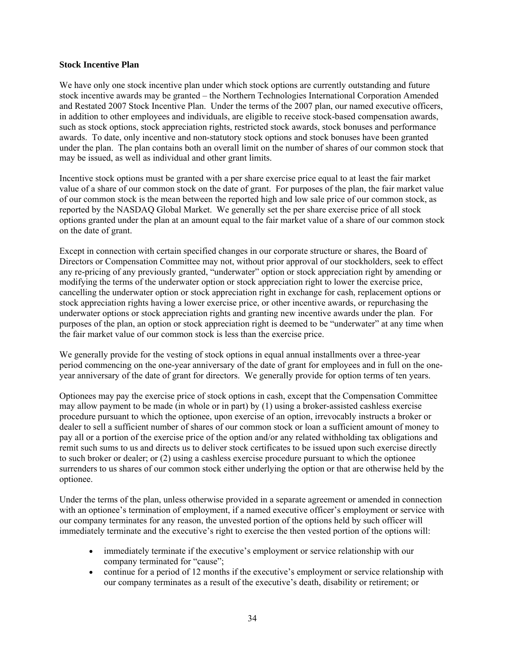#### **Stock Incentive Plan**

We have only one stock incentive plan under which stock options are currently outstanding and future stock incentive awards may be granted – the Northern Technologies International Corporation Amended and Restated 2007 Stock Incentive Plan. Under the terms of the 2007 plan, our named executive officers, in addition to other employees and individuals, are eligible to receive stock-based compensation awards, such as stock options, stock appreciation rights, restricted stock awards, stock bonuses and performance awards. To date, only incentive and non-statutory stock options and stock bonuses have been granted under the plan. The plan contains both an overall limit on the number of shares of our common stock that may be issued, as well as individual and other grant limits.

Incentive stock options must be granted with a per share exercise price equal to at least the fair market value of a share of our common stock on the date of grant. For purposes of the plan, the fair market value of our common stock is the mean between the reported high and low sale price of our common stock, as reported by the NASDAQ Global Market. We generally set the per share exercise price of all stock options granted under the plan at an amount equal to the fair market value of a share of our common stock on the date of grant.

Except in connection with certain specified changes in our corporate structure or shares, the Board of Directors or Compensation Committee may not, without prior approval of our stockholders, seek to effect any re-pricing of any previously granted, "underwater" option or stock appreciation right by amending or modifying the terms of the underwater option or stock appreciation right to lower the exercise price, cancelling the underwater option or stock appreciation right in exchange for cash, replacement options or stock appreciation rights having a lower exercise price, or other incentive awards, or repurchasing the underwater options or stock appreciation rights and granting new incentive awards under the plan. For purposes of the plan, an option or stock appreciation right is deemed to be "underwater" at any time when the fair market value of our common stock is less than the exercise price.

We generally provide for the vesting of stock options in equal annual installments over a three-year period commencing on the one-year anniversary of the date of grant for employees and in full on the oneyear anniversary of the date of grant for directors. We generally provide for option terms of ten years.

Optionees may pay the exercise price of stock options in cash, except that the Compensation Committee may allow payment to be made (in whole or in part) by (1) using a broker-assisted cashless exercise procedure pursuant to which the optionee, upon exercise of an option, irrevocably instructs a broker or dealer to sell a sufficient number of shares of our common stock or loan a sufficient amount of money to pay all or a portion of the exercise price of the option and/or any related withholding tax obligations and remit such sums to us and directs us to deliver stock certificates to be issued upon such exercise directly to such broker or dealer; or (2) using a cashless exercise procedure pursuant to which the optionee surrenders to us shares of our common stock either underlying the option or that are otherwise held by the optionee.

Under the terms of the plan, unless otherwise provided in a separate agreement or amended in connection with an optionee's termination of employment, if a named executive officer's employment or service with our company terminates for any reason, the unvested portion of the options held by such officer will immediately terminate and the executive's right to exercise the then vested portion of the options will:

- immediately terminate if the executive's employment or service relationship with our company terminated for "cause";
- continue for a period of 12 months if the executive's employment or service relationship with our company terminates as a result of the executive's death, disability or retirement; or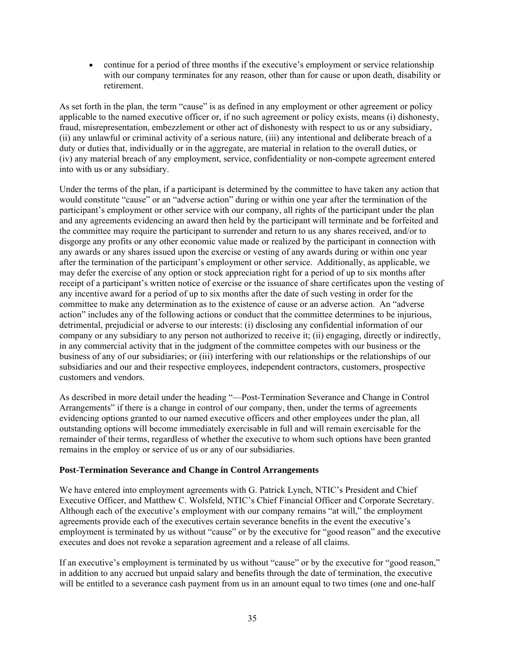continue for a period of three months if the executive's employment or service relationship with our company terminates for any reason, other than for cause or upon death, disability or retirement.

As set forth in the plan, the term "cause" is as defined in any employment or other agreement or policy applicable to the named executive officer or, if no such agreement or policy exists, means (i) dishonesty, fraud, misrepresentation, embezzlement or other act of dishonesty with respect to us or any subsidiary, (ii) any unlawful or criminal activity of a serious nature, (iii) any intentional and deliberate breach of a duty or duties that, individually or in the aggregate, are material in relation to the overall duties, or (iv) any material breach of any employment, service, confidentiality or non-compete agreement entered into with us or any subsidiary.

Under the terms of the plan, if a participant is determined by the committee to have taken any action that would constitute "cause" or an "adverse action" during or within one year after the termination of the participant's employment or other service with our company, all rights of the participant under the plan and any agreements evidencing an award then held by the participant will terminate and be forfeited and the committee may require the participant to surrender and return to us any shares received, and/or to disgorge any profits or any other economic value made or realized by the participant in connection with any awards or any shares issued upon the exercise or vesting of any awards during or within one year after the termination of the participant's employment or other service. Additionally, as applicable, we may defer the exercise of any option or stock appreciation right for a period of up to six months after receipt of a participant's written notice of exercise or the issuance of share certificates upon the vesting of any incentive award for a period of up to six months after the date of such vesting in order for the committee to make any determination as to the existence of cause or an adverse action. An "adverse action" includes any of the following actions or conduct that the committee determines to be injurious, detrimental, prejudicial or adverse to our interests: (i) disclosing any confidential information of our company or any subsidiary to any person not authorized to receive it; (ii) engaging, directly or indirectly, in any commercial activity that in the judgment of the committee competes with our business or the business of any of our subsidiaries; or (iii) interfering with our relationships or the relationships of our subsidiaries and our and their respective employees, independent contractors, customers, prospective customers and vendors.

As described in more detail under the heading "—Post-Termination Severance and Change in Control Arrangements" if there is a change in control of our company, then, under the terms of agreements evidencing options granted to our named executive officers and other employees under the plan, all outstanding options will become immediately exercisable in full and will remain exercisable for the remainder of their terms, regardless of whether the executive to whom such options have been granted remains in the employ or service of us or any of our subsidiaries.

### **Post-Termination Severance and Change in Control Arrangements**

We have entered into employment agreements with G. Patrick Lynch, NTIC's President and Chief Executive Officer, and Matthew C. Wolsfeld, NTIC's Chief Financial Officer and Corporate Secretary. Although each of the executive's employment with our company remains "at will," the employment agreements provide each of the executives certain severance benefits in the event the executive's employment is terminated by us without "cause" or by the executive for "good reason" and the executive executes and does not revoke a separation agreement and a release of all claims.

If an executive's employment is terminated by us without "cause" or by the executive for "good reason," in addition to any accrued but unpaid salary and benefits through the date of termination, the executive will be entitled to a severance cash payment from us in an amount equal to two times (one and one-half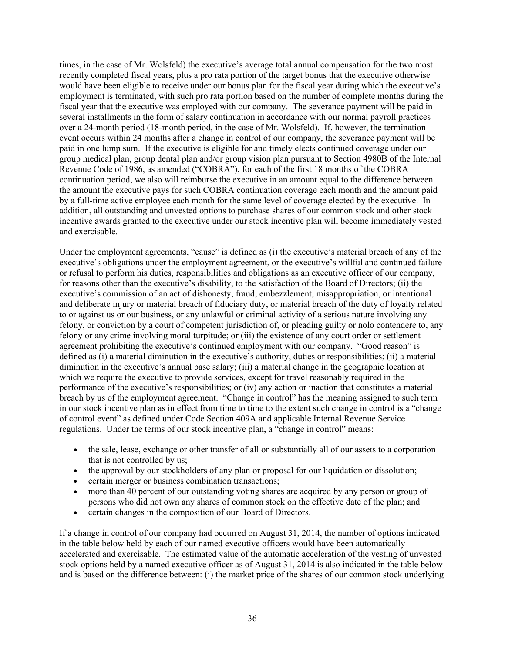times, in the case of Mr. Wolsfeld) the executive's average total annual compensation for the two most recently completed fiscal years, plus a pro rata portion of the target bonus that the executive otherwise would have been eligible to receive under our bonus plan for the fiscal year during which the executive's employment is terminated, with such pro rata portion based on the number of complete months during the fiscal year that the executive was employed with our company. The severance payment will be paid in several installments in the form of salary continuation in accordance with our normal payroll practices over a 24-month period (18-month period, in the case of Mr. Wolsfeld). If, however, the termination event occurs within 24 months after a change in control of our company, the severance payment will be paid in one lump sum. If the executive is eligible for and timely elects continued coverage under our group medical plan, group dental plan and/or group vision plan pursuant to Section 4980B of the Internal Revenue Code of 1986, as amended ("COBRA"), for each of the first 18 months of the COBRA continuation period, we also will reimburse the executive in an amount equal to the difference between the amount the executive pays for such COBRA continuation coverage each month and the amount paid by a full-time active employee each month for the same level of coverage elected by the executive. In addition, all outstanding and unvested options to purchase shares of our common stock and other stock incentive awards granted to the executive under our stock incentive plan will become immediately vested and exercisable.

Under the employment agreements, "cause" is defined as (i) the executive's material breach of any of the executive's obligations under the employment agreement, or the executive's willful and continued failure or refusal to perform his duties, responsibilities and obligations as an executive officer of our company, for reasons other than the executive's disability, to the satisfaction of the Board of Directors; (ii) the executive's commission of an act of dishonesty, fraud, embezzlement, misappropriation, or intentional and deliberate injury or material breach of fiduciary duty, or material breach of the duty of loyalty related to or against us or our business, or any unlawful or criminal activity of a serious nature involving any felony, or conviction by a court of competent jurisdiction of, or pleading guilty or nolo contendere to, any felony or any crime involving moral turpitude; or (iii) the existence of any court order or settlement agreement prohibiting the executive's continued employment with our company. "Good reason" is defined as (i) a material diminution in the executive's authority, duties or responsibilities; (ii) a material diminution in the executive's annual base salary; (iii) a material change in the geographic location at which we require the executive to provide services, except for travel reasonably required in the performance of the executive's responsibilities; or (iv) any action or inaction that constitutes a material breach by us of the employment agreement. "Change in control" has the meaning assigned to such term in our stock incentive plan as in effect from time to time to the extent such change in control is a "change of control event" as defined under Code Section 409A and applicable Internal Revenue Service regulations. Under the terms of our stock incentive plan, a "change in control" means:

- the sale, lease, exchange or other transfer of all or substantially all of our assets to a corporation that is not controlled by us;
- the approval by our stockholders of any plan or proposal for our liquidation or dissolution;
- certain merger or business combination transactions;
- more than 40 percent of our outstanding voting shares are acquired by any person or group of persons who did not own any shares of common stock on the effective date of the plan; and
- certain changes in the composition of our Board of Directors.

If a change in control of our company had occurred on August 31, 2014, the number of options indicated in the table below held by each of our named executive officers would have been automatically accelerated and exercisable. The estimated value of the automatic acceleration of the vesting of unvested stock options held by a named executive officer as of August 31, 2014 is also indicated in the table below and is based on the difference between: (i) the market price of the shares of our common stock underlying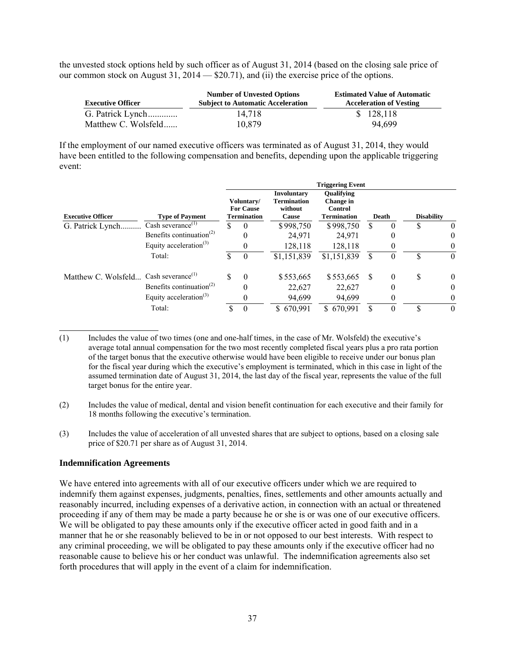the unvested stock options held by such officer as of August 31, 2014 (based on the closing sale price of our common stock on August  $31, 2014 - $20.71$ , and (ii) the exercise price of the options.

| <b>Executive Officer</b> | <b>Number of Unvested Options</b><br><b>Subject to Automatic Acceleration</b> | <b>Estimated Value of Automatic</b><br><b>Acceleration of Vesting</b> |  |  |  |
|--------------------------|-------------------------------------------------------------------------------|-----------------------------------------------------------------------|--|--|--|
| G. Patrick Lynch         | 14.718                                                                        | \$ 128,118                                                            |  |  |  |
| Matthew C. Wolsfeld      | 10.879                                                                        | 94.699                                                                |  |  |  |

If the employment of our named executive officers was terminated as of August 31, 2014, they would have been entitled to the following compensation and benefits, depending upon the applicable triggering event:

|                                                   |                                      | <b>Triggering Event</b>                              |          |                                                                     |                                                                 |          |          |                   |          |
|---------------------------------------------------|--------------------------------------|------------------------------------------------------|----------|---------------------------------------------------------------------|-----------------------------------------------------------------|----------|----------|-------------------|----------|
| <b>Executive Officer</b>                          | <b>Type of Payment</b>               | Voluntary/<br><b>For Cause</b><br><b>Termination</b> |          | <b>Involuntary</b><br><b>Termination</b><br>without<br><b>Cause</b> | <b>Oualifying</b><br>Change in<br>Control<br><b>Termination</b> | Death    |          | <b>Disability</b> |          |
| G. Patrick Lynch                                  | Cash severance <sup>(1)</sup>        | \$                                                   | $\theta$ | \$998,750                                                           | \$998,750                                                       | S        | $\theta$ | S                 | $\theta$ |
|                                                   | Benefits continuation <sup>(2)</sup> |                                                      | $\theta$ | 24,971                                                              | 24,971                                                          |          | 0        |                   | 0        |
|                                                   | Equity acceleration <sup>(3)</sup>   |                                                      | $\theta$ | 128,118                                                             | 128.118                                                         |          |          |                   | $\theta$ |
|                                                   | Total:                               | \$                                                   | $\theta$ | \$1,151,839                                                         | \$1,151,839                                                     |          | $\theta$ |                   | $\theta$ |
| Matthew C. Wolsfeld Cash severance <sup>(1)</sup> |                                      | \$                                                   | $\theta$ | \$553,665                                                           | \$553,665                                                       | <b>S</b> | $\theta$ | \$                | $\theta$ |
|                                                   | Benefits continuation <sup>(2)</sup> |                                                      | $\Omega$ | 22,627                                                              | 22,627                                                          |          | 0        |                   | $\theta$ |
|                                                   | Equity acceleration <sup>(3)</sup>   |                                                      | 0        | 94,699                                                              | 94,699                                                          |          | $\theta$ |                   | $\theta$ |
|                                                   | Total:                               |                                                      | $\Omega$ | \$670,991                                                           | \$670,991                                                       | S        | $\theta$ | \$                | $\theta$ |

<sup>(1)</sup> Includes the value of two times (one and one-half times, in the case of Mr. Wolsfeld) the executive's average total annual compensation for the two most recently completed fiscal years plus a pro rata portion of the target bonus that the executive otherwise would have been eligible to receive under our bonus plan for the fiscal year during which the executive's employment is terminated, which in this case in light of the assumed termination date of August 31, 2014, the last day of the fiscal year, represents the value of the full target bonus for the entire year.

- (2) Includes the value of medical, dental and vision benefit continuation for each executive and their family for 18 months following the executive's termination.
- (3) Includes the value of acceleration of all unvested shares that are subject to options, based on a closing sale price of \$20.71 per share as of August 31, 2014.

### **Indemnification Agreements**

We have entered into agreements with all of our executive officers under which we are required to indemnify them against expenses, judgments, penalties, fines, settlements and other amounts actually and reasonably incurred, including expenses of a derivative action, in connection with an actual or threatened proceeding if any of them may be made a party because he or she is or was one of our executive officers. We will be obligated to pay these amounts only if the executive officer acted in good faith and in a manner that he or she reasonably believed to be in or not opposed to our best interests. With respect to any criminal proceeding, we will be obligated to pay these amounts only if the executive officer had no reasonable cause to believe his or her conduct was unlawful. The indemnification agreements also set forth procedures that will apply in the event of a claim for indemnification.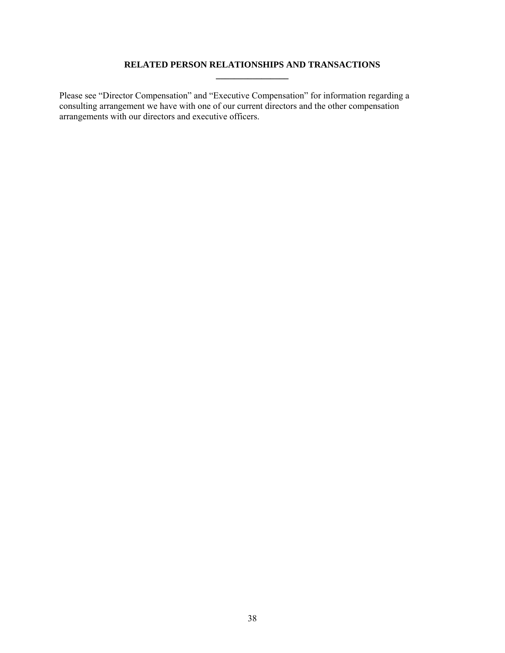## **RELATED PERSON RELATIONSHIPS AND TRANSACTIONS \_\_\_\_\_\_\_\_\_\_\_\_\_\_\_\_**

Please see "Director Compensation" and "Executive Compensation" for information regarding a consulting arrangement we have with one of our current directors and the other compensation arrangements with our directors and executive officers.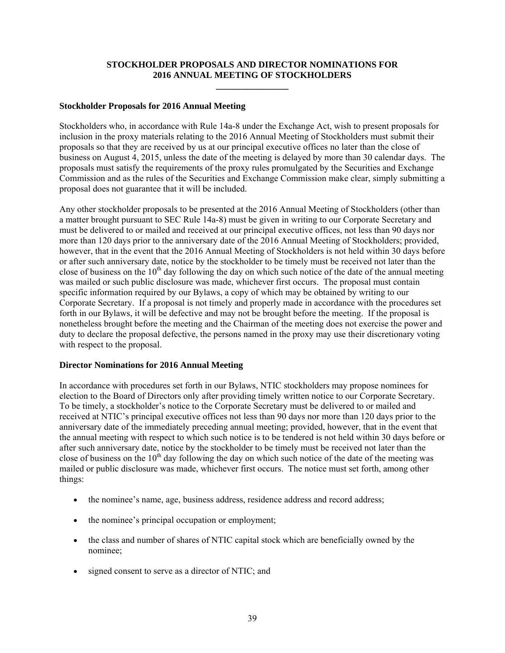## **STOCKHOLDER PROPOSALS AND DIRECTOR NOMINATIONS FOR 2016 ANNUAL MEETING OF STOCKHOLDERS \_\_\_\_\_\_\_\_\_\_\_\_\_\_\_\_**

#### **Stockholder Proposals for 2016 Annual Meeting**

Stockholders who, in accordance with Rule 14a-8 under the Exchange Act, wish to present proposals for inclusion in the proxy materials relating to the 2016 Annual Meeting of Stockholders must submit their proposals so that they are received by us at our principal executive offices no later than the close of business on August 4, 2015, unless the date of the meeting is delayed by more than 30 calendar days. The proposals must satisfy the requirements of the proxy rules promulgated by the Securities and Exchange Commission and as the rules of the Securities and Exchange Commission make clear, simply submitting a proposal does not guarantee that it will be included.

Any other stockholder proposals to be presented at the 2016 Annual Meeting of Stockholders (other than a matter brought pursuant to SEC Rule 14a-8) must be given in writing to our Corporate Secretary and must be delivered to or mailed and received at our principal executive offices, not less than 90 days nor more than 120 days prior to the anniversary date of the 2016 Annual Meeting of Stockholders; provided, however, that in the event that the 2016 Annual Meeting of Stockholders is not held within 30 days before or after such anniversary date, notice by the stockholder to be timely must be received not later than the close of business on the  $10<sup>th</sup>$  day following the day on which such notice of the date of the annual meeting was mailed or such public disclosure was made, whichever first occurs. The proposal must contain specific information required by our Bylaws, a copy of which may be obtained by writing to our Corporate Secretary. If a proposal is not timely and properly made in accordance with the procedures set forth in our Bylaws, it will be defective and may not be brought before the meeting. If the proposal is nonetheless brought before the meeting and the Chairman of the meeting does not exercise the power and duty to declare the proposal defective, the persons named in the proxy may use their discretionary voting with respect to the proposal.

### **Director Nominations for 2016 Annual Meeting**

In accordance with procedures set forth in our Bylaws, NTIC stockholders may propose nominees for election to the Board of Directors only after providing timely written notice to our Corporate Secretary. To be timely, a stockholder's notice to the Corporate Secretary must be delivered to or mailed and received at NTIC's principal executive offices not less than 90 days nor more than 120 days prior to the anniversary date of the immediately preceding annual meeting; provided, however, that in the event that the annual meeting with respect to which such notice is to be tendered is not held within 30 days before or after such anniversary date, notice by the stockholder to be timely must be received not later than the close of business on the  $10<sup>th</sup>$  day following the day on which such notice of the date of the meeting was mailed or public disclosure was made, whichever first occurs. The notice must set forth, among other things:

- the nominee's name, age, business address, residence address and record address;
- the nominee's principal occupation or employment;
- the class and number of shares of NTIC capital stock which are beneficially owned by the nominee;
- signed consent to serve as a director of NTIC; and